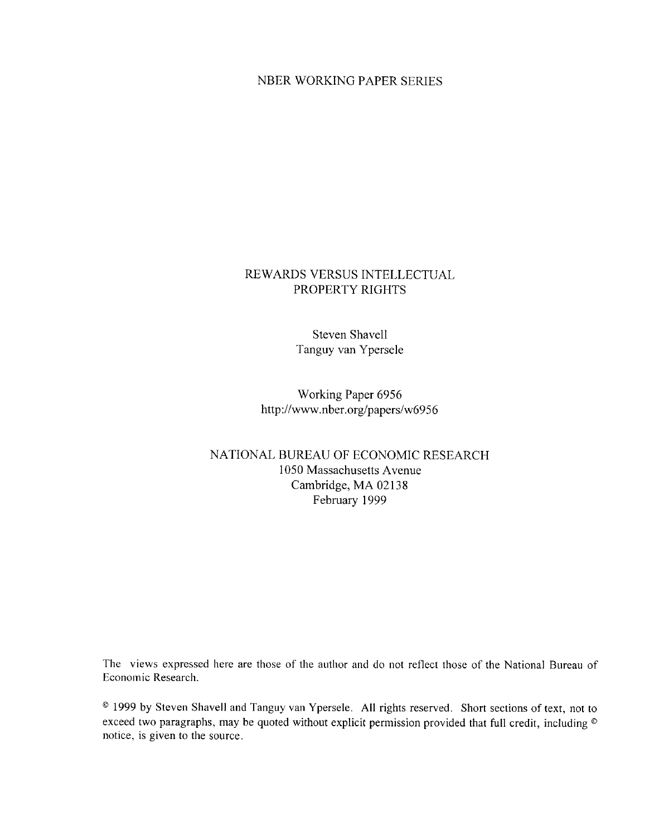## NBER WORKING PAPER SERIES

# REWARDS VERSUS INTELLECTUAL PROPERTY RIGHTS

**Steven Shavell** Tanguy van Ypersele

Working Paper 6956 http://www.nber.org/papers/w6956

# NATIONAL BUREAU OF ECONOMIC RESEARCH 1050 Massachusetts Avenue Cambridge, MA 02138 February 1999

The views expressed here are those of the author and do not reflect those of the National Bureau of Economic Research.

<sup>®</sup> 1999 by Steven Shavell and Tanguy van Ypersele. All rights reserved. Short sections of text, not to exceed two paragraphs, may be quoted without explicit permission provided that full credit, including ® notice, is given to the source.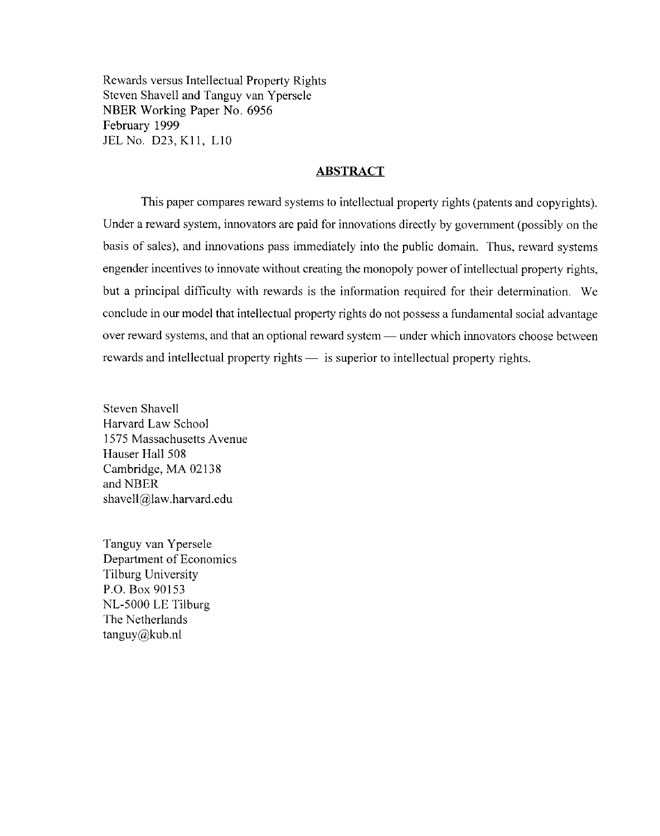Rewards versus Intellectual Property Rights Steven Shavell and Tanguy van Ypersele NBER Working Paper No. 6956 February 1999 JEL No. D23, K11, L10

### **ABSTRACT**

This paper compares reward systems to intellectual property rights (patents and copyrights). Under a reward system, innovators are paid for innovations directly by government (possibly on the basis of sales), and innovations pass immediately into the public domain. Thus, reward systems engender incentives to innovate without creating the monopoly power of intellectual property rights, but a principal difficulty with rewards is the information required for their determination. We conclude in our model that intellectual property rights do not possess a fundamental social advantage over reward systems, and that an optional reward system — under which innovators choose between rewards and intellectual property rights — is superior to intellectual property rights.

**Steven Shavell** Harvard Law School 1575 Massachusetts Avenue Hauser Hall 508 Cambridge, MA 02138 and NBER shavell@law.harvard.edu

Tanguy van Ypersele Department of Economics Tilburg University P.O. Box 90153 NL-5000 LE Tilburg The Netherlands  $t$ anguy $@k$ ub.nl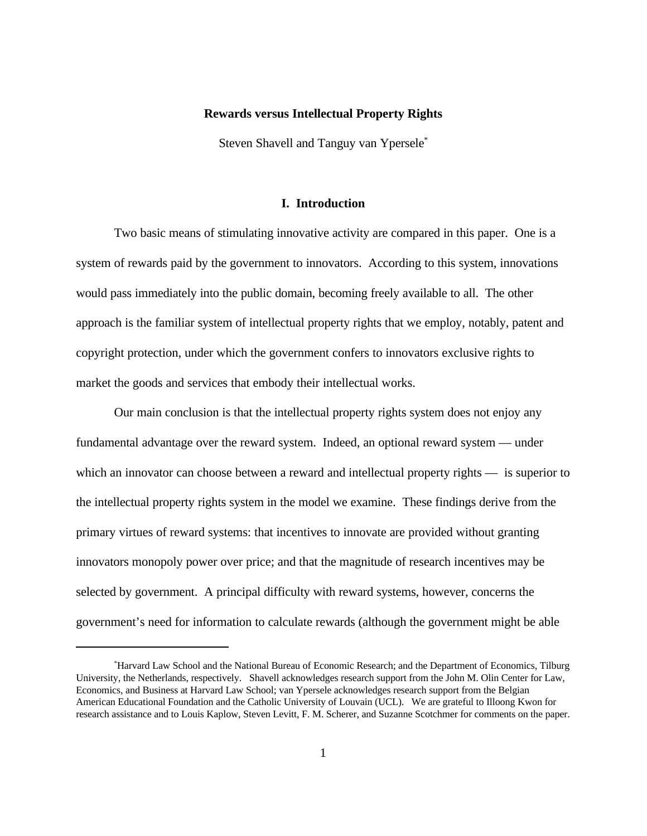#### **Rewards versus Intellectual Property Rights**

Steven Shavell and Tanguy van Ypersele\*

## **I. Introduction**

Two basic means of stimulating innovative activity are compared in this paper. One is a system of rewards paid by the government to innovators. According to this system, innovations would pass immediately into the public domain, becoming freely available to all. The other approach is the familiar system of intellectual property rights that we employ, notably, patent and copyright protection, under which the government confers to innovators exclusive rights to market the goods and services that embody their intellectual works.

Our main conclusion is that the intellectual property rights system does not enjoy any fundamental advantage over the reward system. Indeed, an optional reward system — under which an innovator can choose between a reward and intellectual property rights — is superior to the intellectual property rights system in the model we examine. These findings derive from the primary virtues of reward systems: that incentives to innovate are provided without granting innovators monopoly power over price; and that the magnitude of research incentives may be selected by government. A principal difficulty with reward systems, however, concerns the government's need for information to calculate rewards (although the government might be able

<sup>\*</sup>Harvard Law School and the National Bureau of Economic Research; and the Department of Economics, Tilburg University, the Netherlands, respectively. Shavell acknowledges research support from the John M. Olin Center for Law, Economics, and Business at Harvard Law School; van Ypersele acknowledges research support from the Belgian American Educational Foundation and the Catholic University of Louvain (UCL). We are grateful to Illoong Kwon for research assistance and to Louis Kaplow, Steven Levitt, F. M. Scherer, and Suzanne Scotchmer for comments on the paper.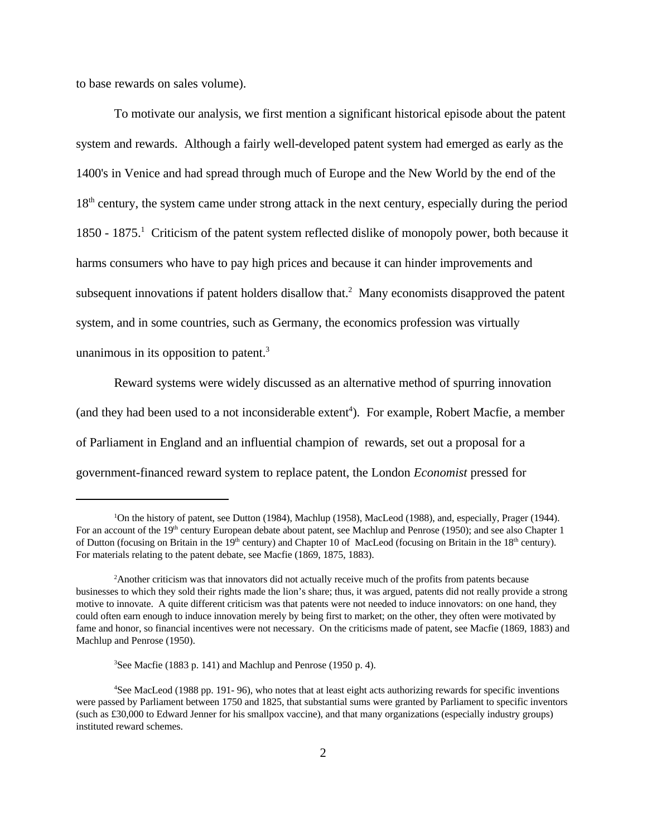to base rewards on sales volume).

 To motivate our analysis, we first mention a significant historical episode about the patent system and rewards. Although a fairly well-developed patent system had emerged as early as the 1400's in Venice and had spread through much of Europe and the New World by the end of the 18<sup>th</sup> century, the system came under strong attack in the next century, especially during the period 1850 - 1875.<sup>1</sup> Criticism of the patent system reflected dislike of monopoly power, both because it harms consumers who have to pay high prices and because it can hinder improvements and subsequent innovations if patent holders disallow that.<sup>2</sup> Many economists disapproved the patent system, and in some countries, such as Germany, the economics profession was virtually unanimous in its opposition to patent. $3$ 

Reward systems were widely discussed as an alternative method of spurring innovation (and they had been used to a not inconsiderable extent<sup>4</sup>). For example, Robert Macfie, a member of Parliament in England and an influential champion of rewards, set out a proposal for a government-financed reward system to replace patent, the London *Economist* pressed for

<sup>&</sup>lt;sup>1</sup>On the history of patent, see Dutton (1984), Machlup (1958), MacLeod (1988), and, especially, Prager (1944). For an account of the 19<sup>th</sup> century European debate about patent, see Machlup and Penrose (1950); and see also Chapter 1 of Dutton (focusing on Britain in the 19<sup>th</sup> century) and Chapter 10 of MacLeod (focusing on Britain in the 18<sup>th</sup> century). For materials relating to the patent debate, see Macfie (1869, 1875, 1883).

<sup>2</sup>Another criticism was that innovators did not actually receive much of the profits from patents because businesses to which they sold their rights made the lion's share; thus, it was argued, patents did not really provide a strong motive to innovate. A quite different criticism was that patents were not needed to induce innovators: on one hand, they could often earn enough to induce innovation merely by being first to market; on the other, they often were motivated by fame and honor, so financial incentives were not necessary. On the criticisms made of patent, see Macfie (1869, 1883) and Machlup and Penrose (1950).

<sup>&</sup>lt;sup>3</sup>See Macfie (1883 p. 141) and Machlup and Penrose (1950 p. 4).

<sup>4</sup>See MacLeod (1988 pp. 191- 96), who notes that at least eight acts authorizing rewards for specific inventions were passed by Parliament between 1750 and 1825, that substantial sums were granted by Parliament to specific inventors (such as £30,000 to Edward Jenner for his smallpox vaccine), and that many organizations (especially industry groups) instituted reward schemes.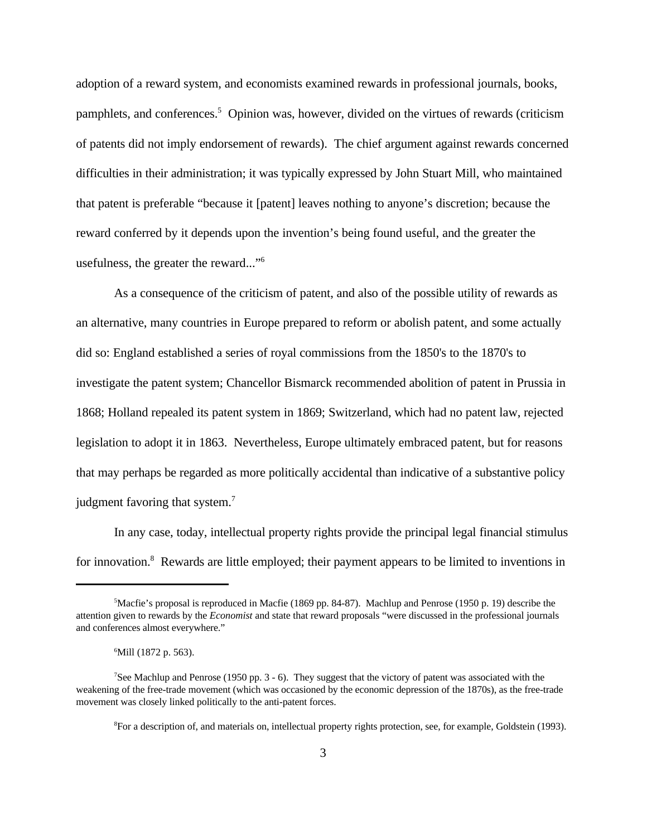adoption of a reward system, and economists examined rewards in professional journals, books, pamphlets, and conferences.<sup>5</sup> Opinion was, however, divided on the virtues of rewards (criticism of patents did not imply endorsement of rewards). The chief argument against rewards concerned difficulties in their administration; it was typically expressed by John Stuart Mill, who maintained that patent is preferable "because it [patent] leaves nothing to anyone's discretion; because the reward conferred by it depends upon the invention's being found useful, and the greater the usefulness, the greater the reward..."<sup>6</sup>

As a consequence of the criticism of patent, and also of the possible utility of rewards as an alternative, many countries in Europe prepared to reform or abolish patent, and some actually did so: England established a series of royal commissions from the 1850's to the 1870's to investigate the patent system; Chancellor Bismarck recommended abolition of patent in Prussia in 1868; Holland repealed its patent system in 1869; Switzerland, which had no patent law, rejected legislation to adopt it in 1863. Nevertheless, Europe ultimately embraced patent, but for reasons that may perhaps be regarded as more politically accidental than indicative of a substantive policy judgment favoring that system.<sup>7</sup>

In any case, today, intellectual property rights provide the principal legal financial stimulus for innovation.<sup>8</sup> Rewards are little employed; their payment appears to be limited to inventions in

<sup>5</sup>Macfie's proposal is reproduced in Macfie (1869 pp. 84-87). Machlup and Penrose (1950 p. 19) describe the attention given to rewards by the *Economist* and state that reward proposals "were discussed in the professional journals and conferences almost everywhere."

<sup>&</sup>lt;sup>6</sup>Mill (1872 p. 563).

<sup>&</sup>lt;sup>7</sup>See Machlup and Penrose (1950 pp.  $3 - 6$ ). They suggest that the victory of patent was associated with the weakening of the free-trade movement (which was occasioned by the economic depression of the 1870s), as the free-trade movement was closely linked politically to the anti-patent forces.

<sup>8</sup>For a description of, and materials on, intellectual property rights protection, see, for example, Goldstein (1993).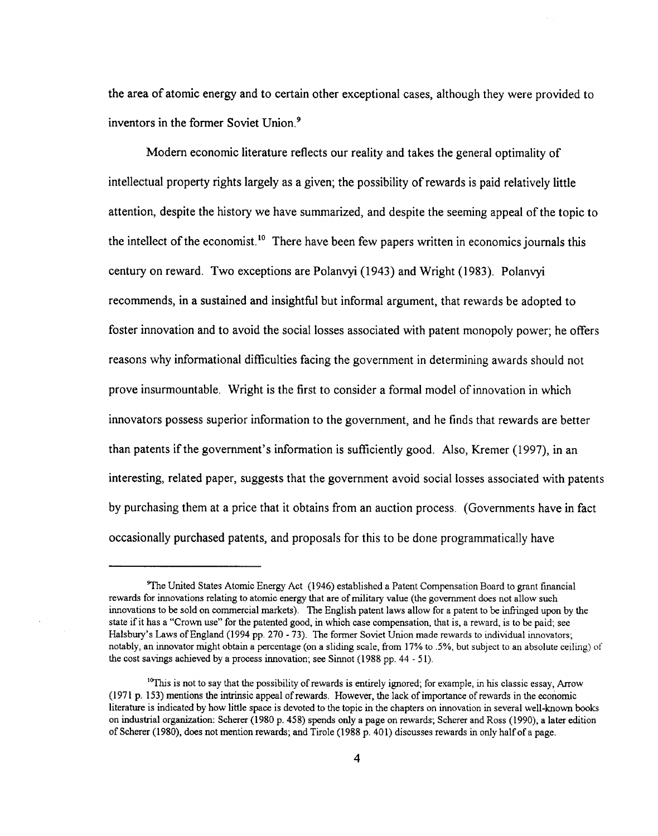the area of atomic energy and to certain other exceptional cases, although they were provided to inventors in the former Soviet Union.<sup>9</sup>

Modern economic literature reflects our reality and takes the general optimality of intellectual property rights largely as a given; the possibility of rewards is paid relatively little attention, despite the history we have summarized, and despite the seeming appeal of the topic to the intellect of the economist.<sup>10</sup> There have been few papers written in economics journals this century on reward. Two exceptions are Polanvyi (1943) and Wright (1983). Polanvyi recommends, in a sustained and insightful but informal argument, that rewards be adopted to foster innovation and to avoid the social losses associated with patent monopoly power; he offers reasons why informational difficulties facing the government in determining awards should not prove insurmountable. Wright is the first to consider a formal model of innovation in which innovators possess superior information to the government, and he finds that rewards are better than patents if the government's information is sufficiently good. Also, Kremer (1997), in an interesting, related paper, suggests that the government avoid social losses associated with patents by purchasing them at a price that it obtains from an auction process. (Governments have in fact) occasionally purchased patents, and proposals for this to be done programmatically have

<sup>&</sup>lt;sup>9</sup>The United States Atomic Energy Act (1946) established a Patent Compensation Board to grant financial rewards for innovations relating to atomic energy that are of military value (the government does not allow such innovations to be sold on commercial markets). The English patent laws allow for a patent to be infringed upon by the state if it has a "Crown use" for the patented good, in which case compensation, that is, a reward, is to be paid; see Halsbury's Laws of England (1994 pp. 270 - 73). The former Soviet Union made rewards to individual innovators; notably, an innovator might obtain a percentage (on a sliding scale, from 17% to .5%, but subject to an absolute ceiling) of the cost savings achieved by a process innovation; see Sinnot (1988 pp. 44 - 51).

<sup>&</sup>lt;sup>10</sup>This is not to say that the possibility of rewards is entirely ignored; for example, in his classic essay, Arrow (1971 p. 153) mentions the intrinsic appeal of rewards. However, the lack of importance of rewards in the economic literature is indicated by how little space is devoted to the topic in the chapters on innovation in several well-known books on industrial organization: Scherer (1980 p. 458) spends only a page on rewards; Scherer and Ross (1990), a later edition of Scherer (1980), does not mention rewards; and Tirole (1988 p. 401) discusses rewards in only half of a page.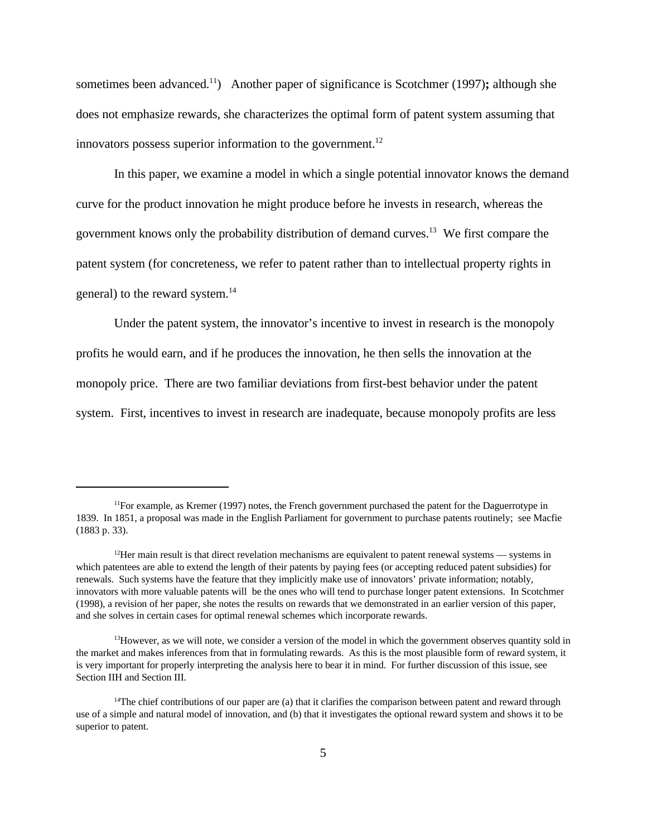sometimes been advanced.<sup>11</sup>) Another paper of significance is Scotchmer (1997); although she does not emphasize rewards, she characterizes the optimal form of patent system assuming that innovators possess superior information to the government. $^{12}$ 

In this paper, we examine a model in which a single potential innovator knows the demand curve for the product innovation he might produce before he invests in research, whereas the government knows only the probability distribution of demand curves.<sup>13</sup> We first compare the patent system (for concreteness, we refer to patent rather than to intellectual property rights in general) to the reward system.<sup>14</sup>

Under the patent system, the innovator's incentive to invest in research is the monopoly profits he would earn, and if he produces the innovation, he then sells the innovation at the monopoly price. There are two familiar deviations from first-best behavior under the patent system. First, incentives to invest in research are inadequate, because monopoly profits are less

<sup>&</sup>lt;sup>11</sup>For example, as Kremer (1997) notes, the French government purchased the patent for the Daguerrotype in 1839. In 1851, a proposal was made in the English Parliament for government to purchase patents routinely; see Macfie (1883 p. 33).

 $12$ Her main result is that direct revelation mechanisms are equivalent to patent renewal systems — systems in which patentees are able to extend the length of their patents by paying fees (or accepting reduced patent subsidies) for renewals. Such systems have the feature that they implicitly make use of innovators' private information; notably, innovators with more valuable patents will be the ones who will tend to purchase longer patent extensions. In Scotchmer (1998), a revision of her paper, she notes the results on rewards that we demonstrated in an earlier version of this paper, and she solves in certain cases for optimal renewal schemes which incorporate rewards.

 $13$ However, as we will note, we consider a version of the model in which the government observes quantity sold in the market and makes inferences from that in formulating rewards. As this is the most plausible form of reward system, it is very important for properly interpreting the analysis here to bear it in mind. For further discussion of this issue, see Section IIH and Section III.

 $14$ The chief contributions of our paper are (a) that it clarifies the comparison between patent and reward through use of a simple and natural model of innovation, and (b) that it investigates the optional reward system and shows it to be superior to patent.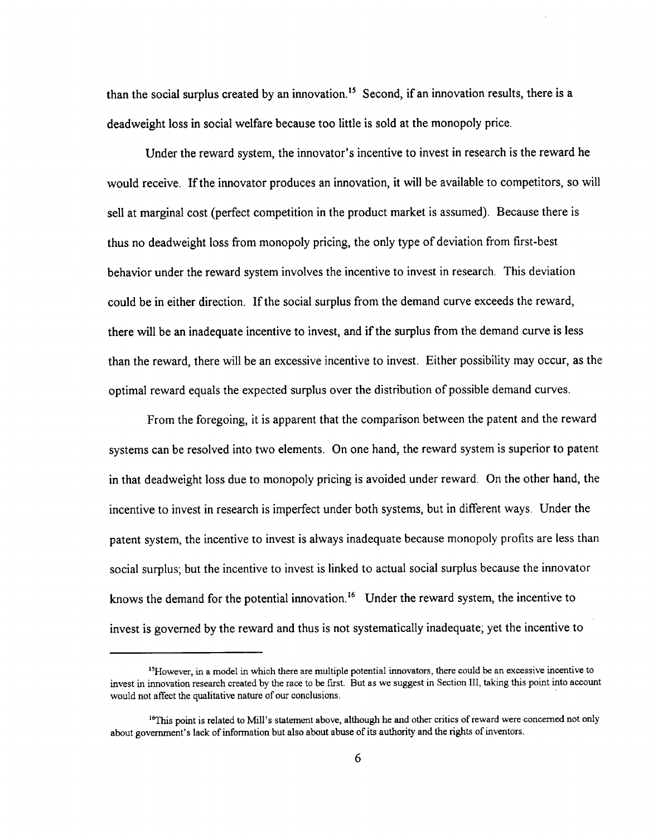than the social surplus created by an innovation.<sup>15</sup> Second, if an innovation results, there is a deadweight loss in social welfare because too little is sold at the monopoly price.

Under the reward system, the innovator's incentive to invest in research is the reward he would receive. If the innovator produces an innovation, it will be available to competitors, so will sell at marginal cost (perfect competition in the product market is assumed). Because there is thus no deadweight loss from monopoly pricing, the only type of deviation from first-best behavior under the reward system involves the incentive to invest in research. This deviation could be in either direction. If the social surplus from the demand curve exceeds the reward, there will be an inadequate incentive to invest, and if the surplus from the demand curve is less than the reward, there will be an excessive incentive to invest. Either possibility may occur, as the optimal reward equals the expected surplus over the distribution of possible demand curves.

From the foregoing, it is apparent that the comparison between the patent and the reward systems can be resolved into two elements. On one hand, the reward system is superior to patent in that deadweight loss due to monopoly pricing is avoided under reward. On the other hand, the incentive to invest in research is imperfect under both systems, but in different ways. Under the patent system, the incentive to invest is always inadequate because monopoly profits are less than social surplus; but the incentive to invest is linked to actual social surplus because the innovator knows the demand for the potential innovation.<sup>16</sup> Under the reward system, the incentive to invest is governed by the reward and thus is not systematically inadequate; yet the incentive to

<sup>&</sup>lt;sup>15</sup>However, in a model in which there are multiple potential innovators, there could be an excessive incentive to invest in innovation research created by the race to be first. But as we suggest in Section III, taking this point into account would not affect the qualitative nature of our conclusions.

<sup>&</sup>lt;sup>16</sup>This point is related to Mill's statement above, although he and other critics of reward were concerned not only about government's lack of information but also about abuse of its authority and the rights of inventors.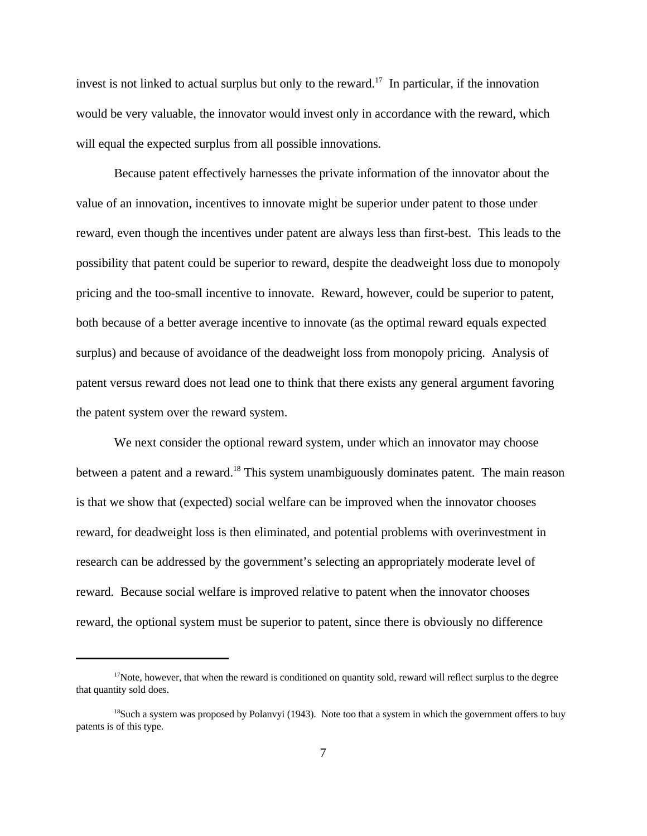invest is not linked to actual surplus but only to the reward.<sup>17</sup> In particular, if the innovation would be very valuable, the innovator would invest only in accordance with the reward, which will equal the expected surplus from all possible innovations.

Because patent effectively harnesses the private information of the innovator about the value of an innovation, incentives to innovate might be superior under patent to those under reward, even though the incentives under patent are always less than first-best. This leads to the possibility that patent could be superior to reward, despite the deadweight loss due to monopoly pricing and the too-small incentive to innovate. Reward, however, could be superior to patent, both because of a better average incentive to innovate (as the optimal reward equals expected surplus) and because of avoidance of the deadweight loss from monopoly pricing. Analysis of patent versus reward does not lead one to think that there exists any general argument favoring the patent system over the reward system.

We next consider the optional reward system, under which an innovator may choose between a patent and a reward.<sup>18</sup> This system unambiguously dominates patent. The main reason is that we show that (expected) social welfare can be improved when the innovator chooses reward, for deadweight loss is then eliminated, and potential problems with overinvestment in research can be addressed by the government's selecting an appropriately moderate level of reward. Because social welfare is improved relative to patent when the innovator chooses reward, the optional system must be superior to patent, since there is obviously no difference

 $17$ Note, however, that when the reward is conditioned on quantity sold, reward will reflect surplus to the degree that quantity sold does.

<sup>&</sup>lt;sup>18</sup>Such a system was proposed by Polanvyi (1943). Note too that a system in which the government offers to buy patents is of this type.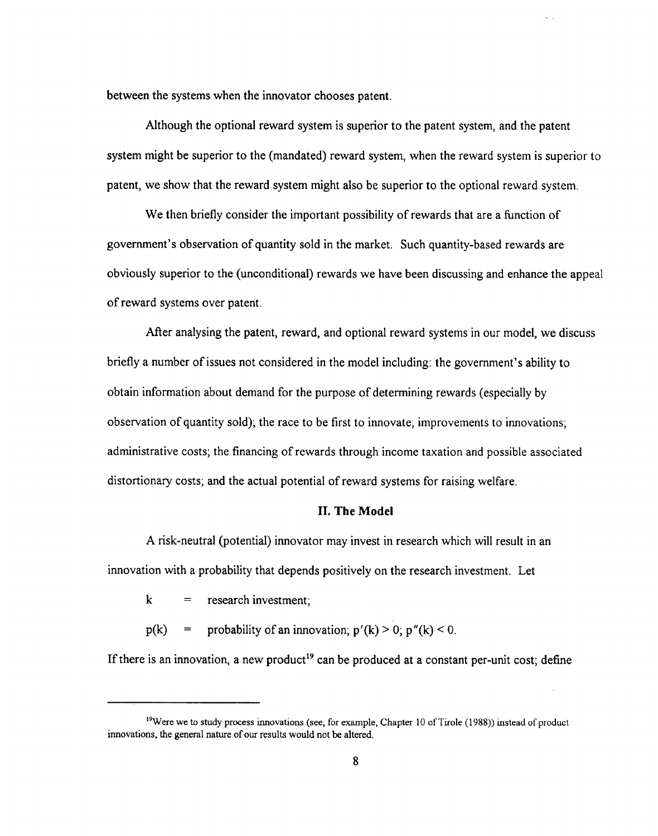between the systems when the innovator chooses patent.

Although the optional reward system is superior to the patent system, and the patent system might be superior to the (mandated) reward system, when the reward system is superior to patent, we show that the reward system might also be superior to the optional reward system.

We then briefly consider the important possibility of rewards that are a function of government's observation of quantity sold in the market. Such quantity-based rewards are obviously superior to the (unconditional) rewards we have been discussing and enhance the appeal of reward systems over patent.

After analysing the patent, reward, and optional reward systems in our model, we discuss briefly a number of issues not considered in the model including: the government's ability to obtain information about demand for the purpose of determining rewards (especially by observation of quantity sold); the race to be first to innovate; improvements to innovations; administrative costs; the financing of rewards through income taxation and possible associated distortionary costs; and the actual potential of reward systems for raising welfare.

### **II. The Model**

A risk-neutral (potential) innovator may invest in research which will result in an innovation with a probability that depends positively on the research investment. Let

research investment;  $\bf k$  $\hspace*{0.4em} = \hspace*{0.4em}$ 

probability of an innovation;  $p'(k) > 0$ ;  $p''(k) < 0$ .  $p(k)$  $=$ 

If there is an innovation, a new product<sup>19</sup> can be produced at a constant per-unit cost; define

<sup>&</sup>lt;sup>19</sup>Were we to study process innovations (see, for example, Chapter 10 of Tirole (1988)) instead of product innovations, the general nature of our results would not be altered.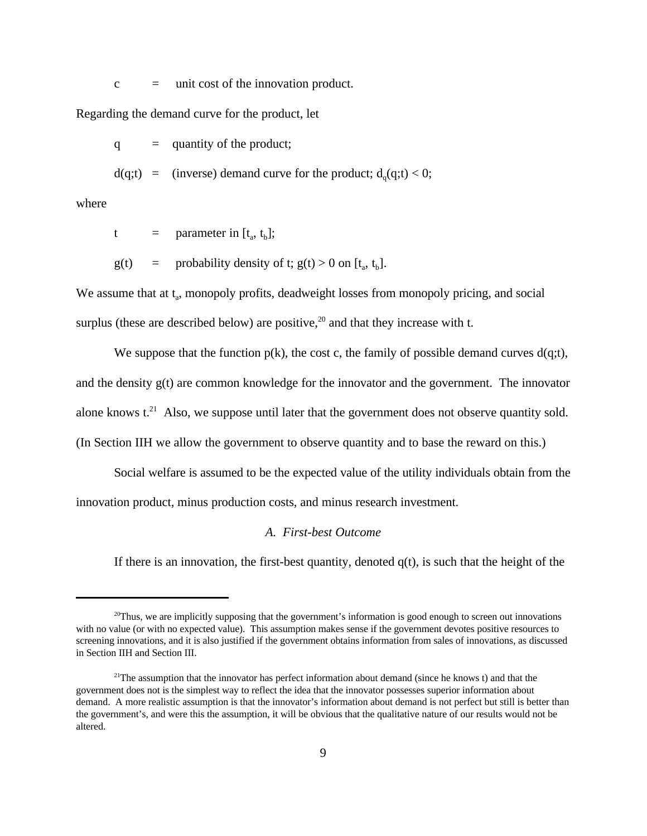$c =$  unit cost of the innovation product.

Regarding the demand curve for the product, let

 $q =$  quantity of the product;

 $d(q;t) =$  (inverse) demand curve for the product;  $d_q(q;t) < 0$ ;

where

- t = parameter in  $[t_a, t_b]$ ;
- $g(t)$  = probability density of t;  $g(t) > 0$  on  $[t_a, t_b]$ .

We assume that at t<sub>a</sub>, monopoly profits, deadweight losses from monopoly pricing, and social surplus (these are described below) are positive,<sup>20</sup> and that they increase with t.

We suppose that the function  $p(k)$ , the cost c, the family of possible demand curves  $d(q;t)$ , and the density g(t) are common knowledge for the innovator and the government. The innovator alone knows  $t^{21}$ . Also, we suppose until later that the government does not observe quantity sold. (In Section IIH we allow the government to observe quantity and to base the reward on this.)

Social welfare is assumed to be the expected value of the utility individuals obtain from the innovation product, minus production costs, and minus research investment.

#### *A. First-best Outcome*

If there is an innovation, the first-best quantity, denoted  $q(t)$ , is such that the height of the

 $^{20}$ Thus, we are implicitly supposing that the government's information is good enough to screen out innovations with no value (or with no expected value). This assumption makes sense if the government devotes positive resources to screening innovations, and it is also justified if the government obtains information from sales of innovations, as discussed in Section IIH and Section III.

<sup>&</sup>lt;sup>21</sup>The assumption that the innovator has perfect information about demand (since he knows t) and that the government does not is the simplest way to reflect the idea that the innovator possesses superior information about demand. A more realistic assumption is that the innovator's information about demand is not perfect but still is better than the government's, and were this the assumption, it will be obvious that the qualitative nature of our results would not be altered.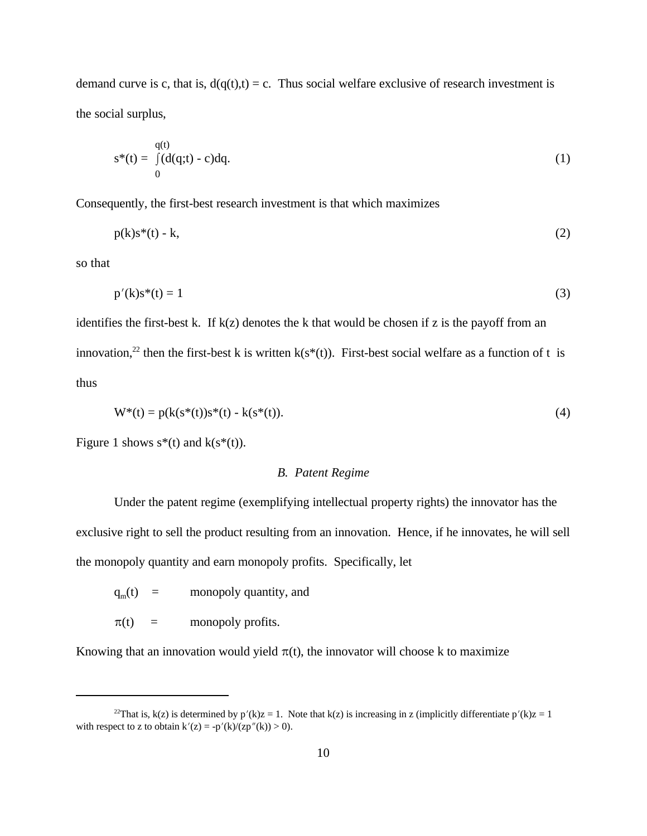demand curve is c, that is,  $d(q(t),t) = c$ . Thus social welfare exclusive of research investment is the social surplus,

$$
s^*(t) = \int_0^{q(t)} (d(q;t) - c) dq.
$$
 (1)

Consequently, the first-best research investment is that which maximizes

$$
p(k)s^*(t) - k,\tag{2}
$$

so that

$$
p'(k)s^*(t) = 1 \tag{3}
$$

identifies the first-best k. If  $k(z)$  denotes the k that would be chosen if z is the payoff from an innovation,<sup>22</sup> then the first-best k is written  $k(s^*(t))$ . First-best social welfare as a function of t is thus

$$
W^*(t) = p(k(s^*(t))s^*(t) - k(s^*(t)).
$$
\n(4)

Figure 1 shows  $s^*(t)$  and  $k(s^*(t))$ .

## *B. Patent Regime*

Under the patent regime (exemplifying intellectual property rights) the innovator has the exclusive right to sell the product resulting from an innovation. Hence, if he innovates, he will sell the monopoly quantity and earn monopoly profits. Specifically, let

 $q_m(t)$  = monopoly quantity, and

 $\pi(t)$  = monopoly profits.

Knowing that an innovation would yield  $\pi(t)$ , the innovator will choose k to maximize

<sup>&</sup>lt;sup>22</sup>That is, k(z) is determined by  $p'(k)z = 1$ . Note that k(z) is increasing in z (implicitly differentiate  $p'(k)z = 1$ with respect to z to obtain  $k'(z) = -p'(k)/(zp''(k)) > 0$ .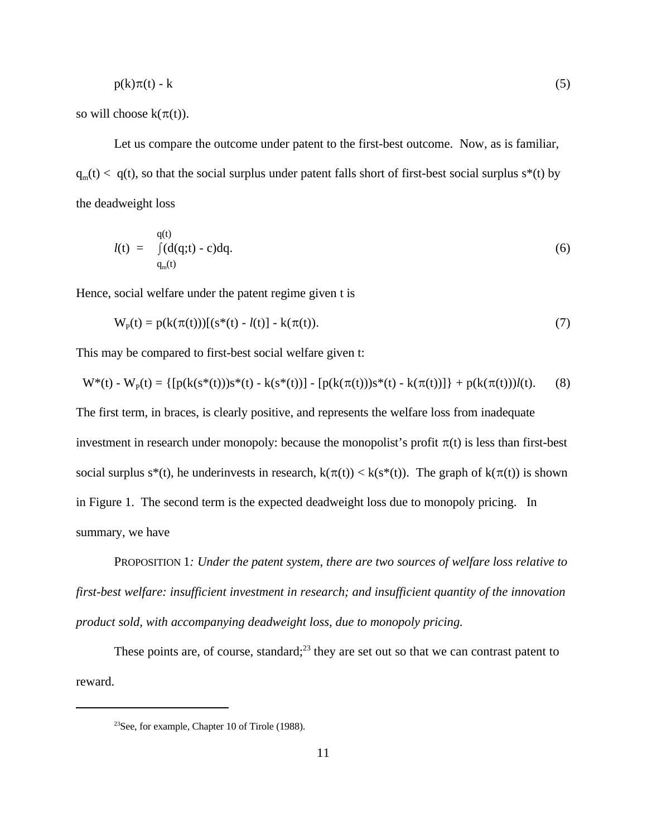$$
p(k)\pi(t) - k \tag{5}
$$

so will choose  $k(\pi(t))$ .

Let us compare the outcome under patent to the first-best outcome. Now, as is familiar,  $q_m(t) < q(t)$ , so that the social surplus under patent falls short of first-best social surplus s<sup>\*</sup>(t) by the deadweight loss

$$
l(t) = \int_{q_m(t)}^{q(t)} (d(q;t) - c) dq.
$$
\n(6)

Hence, social welfare under the patent regime given t is

$$
W_p(t) = p(k(\pi(t)))[(s^*(t) - l(t)) - k(\pi(t)).
$$
\n(7)

This may be compared to first-best social welfare given t:

$$
W^*(t) - W_p(t) = \{ [p(k(s^*(t)))s^*(t) - k(s^*(t))] - [p(k(\pi(t)))s^*(t) - k(\pi(t))] \} + p(k(\pi(t)))l(t).
$$
 (8)

The first term, in braces, is clearly positive, and represents the welfare loss from inadequate investment in research under monopoly: because the monopolist's profit  $\pi(t)$  is less than first-best social surplus s<sup>\*</sup>(t), he underinvests in research,  $k(\pi(t)) < k(s^*(t))$ . The graph of  $k(\pi(t))$  is shown in Figure 1. The second term is the expected deadweight loss due to monopoly pricing. In summary, we have

PROPOSITION 1*: Under the patent system, there are two sources of welfare loss relative to first-best welfare: insufficient investment in research; and insufficient quantity of the innovation product sold, with accompanying deadweight loss, due to monopoly pricing.* 

These points are, of course, standard;<sup>23</sup> they are set out so that we can contrast patent to reward.

<sup>23</sup>See, for example, Chapter 10 of Tirole (1988).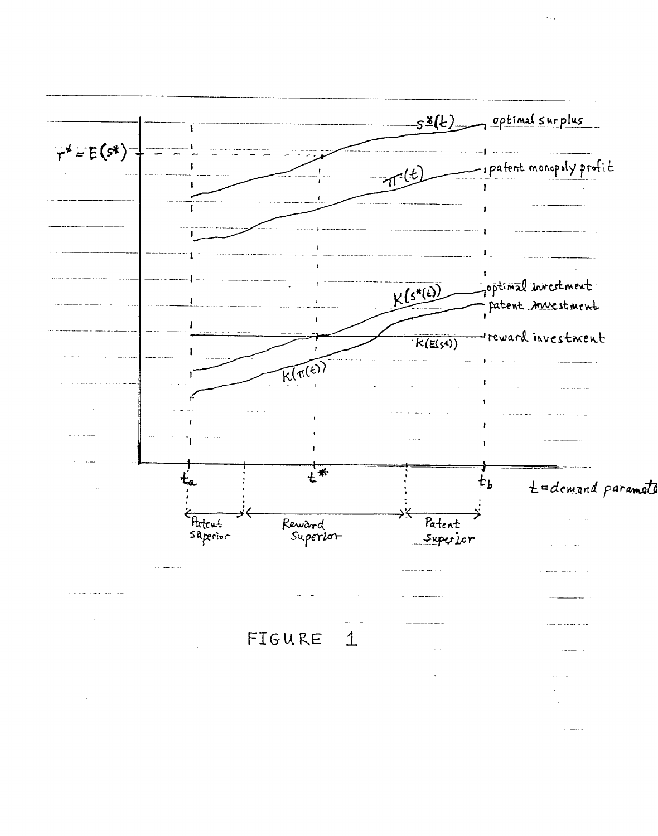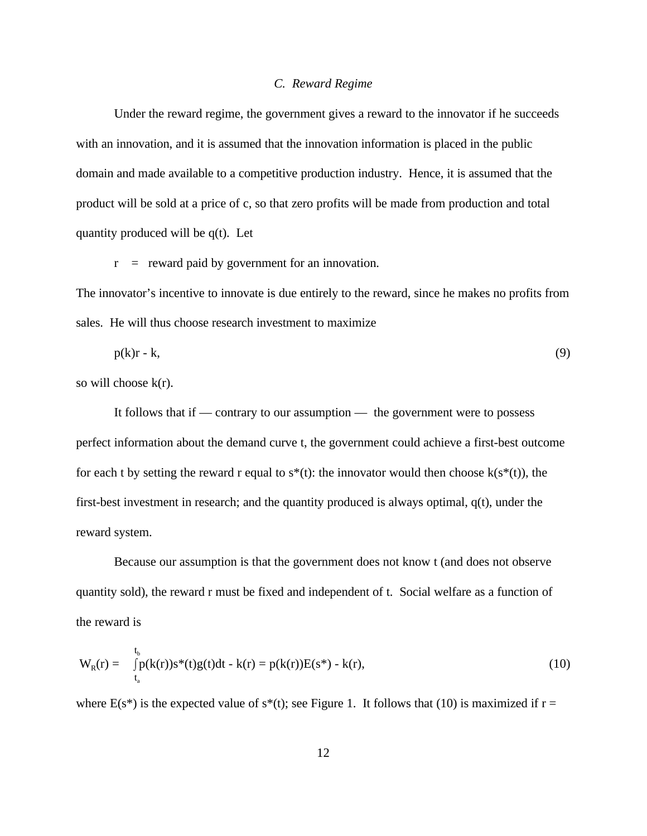### *C. Reward Regime*

Under the reward regime, the government gives a reward to the innovator if he succeeds with an innovation, and it is assumed that the innovation information is placed in the public domain and made available to a competitive production industry. Hence, it is assumed that the product will be sold at a price of c, so that zero profits will be made from production and total quantity produced will be q(t). Let

 $r =$  reward paid by government for an innovation.

The innovator's incentive to innovate is due entirely to the reward, since he makes no profits from sales. He will thus choose research investment to maximize

$$
p(k)r - k,\tag{9}
$$

so will choose k(r).

It follows that if — contrary to our assumption — the government were to possess perfect information about the demand curve t, the government could achieve a first-best outcome for each t by setting the reward r equal to  $s^*(t)$ : the innovator would then choose  $k(s^*(t))$ , the first-best investment in research; and the quantity produced is always optimal, q(t), under the reward system.

Because our assumption is that the government does not know t (and does not observe quantity sold), the reward r must be fixed and independent of t. Social welfare as a function of the reward is

$$
W_R(r) = \int_{t_a}^{t_b} p(k(r))s^*(t)g(t)dt - k(r) = p(k(r))E(s^*) - k(r), \qquad (10)
$$

where  $E(s^*)$  is the expected value of  $s^*(t)$ ; see Figure 1. It follows that (10) is maximized if  $r =$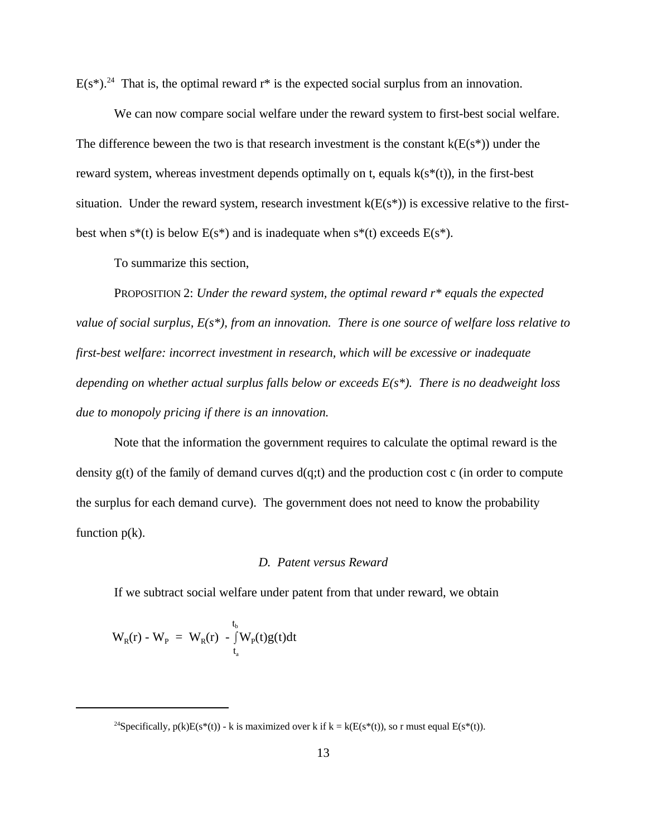$E(s^*)$ .<sup>24</sup> That is, the optimal reward  $r^*$  is the expected social surplus from an innovation.

We can now compare social welfare under the reward system to first-best social welfare. The difference beween the two is that research investment is the constant  $k(E(s^*))$  under the reward system, whereas investment depends optimally on t, equals  $k(s^*(t))$ , in the first-best situation. Under the reward system, research investment  $k(E(s^*))$  is excessive relative to the firstbest when  $s^*(t)$  is below  $E(s^*)$  and is inadequate when  $s^*(t)$  exceeds  $E(s^*)$ .

To summarize this section,

PROPOSITION 2: *Under the reward system, the optimal reward r\* equals the expected value of social surplus, E(s\*), from an innovation. There is one source of welfare loss relative to first-best welfare: incorrect investment in research, which will be excessive or inadequate depending on whether actual surplus falls below or exceeds E(s\*). There is no deadweight loss due to monopoly pricing if there is an innovation.*

Note that the information the government requires to calculate the optimal reward is the density  $g(t)$  of the family of demand curves  $d(q;t)$  and the production cost c (in order to compute the surplus for each demand curve). The government does not need to know the probability function  $p(k)$ .

### *D. Patent versus Reward*

If we subtract social welfare under patent from that under reward, we obtain

$$
W_{R}(r) - W_{P} = W_{R}(r) - \int_{t_a}^{t_b} W_{P}(t)g(t)dt
$$

<sup>&</sup>lt;sup>24</sup>Specifically,  $p(k)E(s^*(t))$  - k is maximized over k if  $k = k(E(s^*(t)),$  so r must equal  $E(s^*(t)).$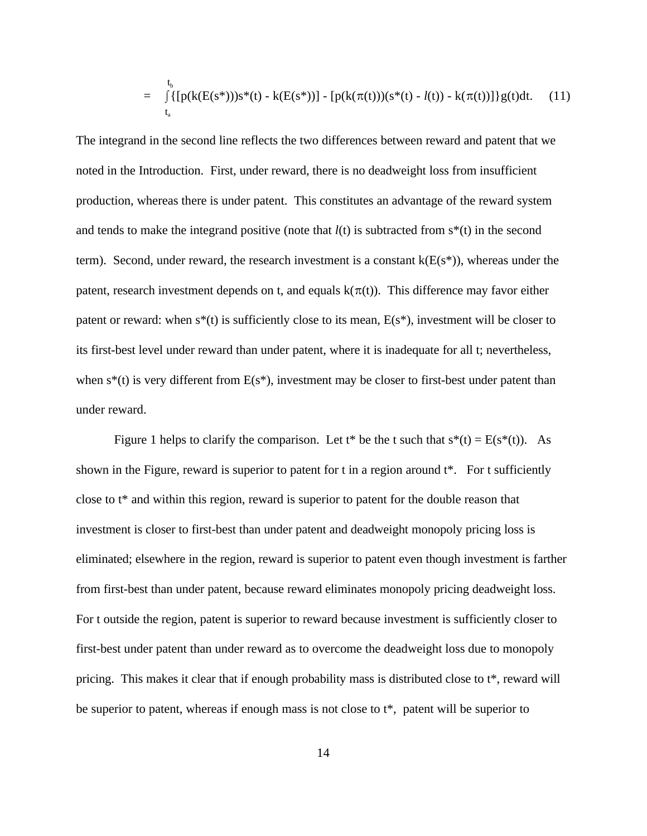$$
= \int_{t_a}^{t_b} \{ [p(k(E(s^*)))s^*(t) - k(E(s^*))] - [p(k(\pi(t)))(s^*(t) - l(t)) - k(\pi(t))] \} g(t) dt. \quad (11)
$$

The integrand in the second line reflects the two differences between reward and patent that we noted in the Introduction. First, under reward, there is no deadweight loss from insufficient production, whereas there is under patent. This constitutes an advantage of the reward system and tends to make the integrand positive (note that  $l(t)$  is subtracted from  $s^*(t)$  in the second term). Second, under reward, the research investment is a constant  $k(E(s^*))$ , whereas under the patent, research investment depends on t, and equals  $k(\pi(t))$ . This difference may favor either patent or reward: when  $s^*(t)$  is sufficiently close to its mean,  $E(s^*)$ , investment will be closer to its first-best level under reward than under patent, where it is inadequate for all t; nevertheless, when  $s^*(t)$  is very different from  $E(s^*)$ , investment may be closer to first-best under patent than under reward.

Figure 1 helps to clarify the comparison. Let t\* be the t such that  $s^*(t) = E(s^*(t))$ . As shown in the Figure, reward is superior to patent for t in a region around t\*. For t sufficiently close to t\* and within this region, reward is superior to patent for the double reason that investment is closer to first-best than under patent and deadweight monopoly pricing loss is eliminated; elsewhere in the region, reward is superior to patent even though investment is farther from first-best than under patent, because reward eliminates monopoly pricing deadweight loss. For t outside the region, patent is superior to reward because investment is sufficiently closer to first-best under patent than under reward as to overcome the deadweight loss due to monopoly pricing. This makes it clear that if enough probability mass is distributed close to t\*, reward will be superior to patent, whereas if enough mass is not close to t\*, patent will be superior to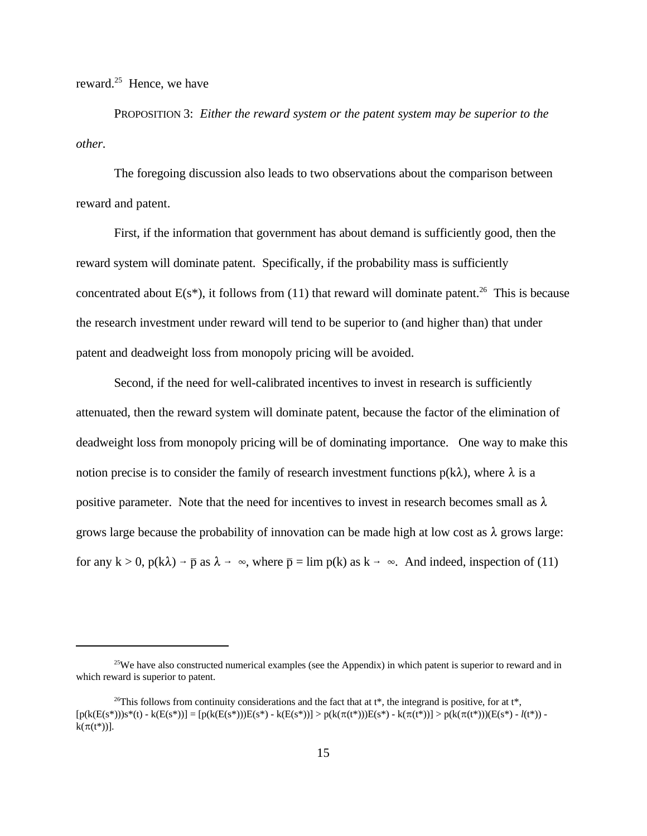reward. $25$  Hence, we have

PROPOSITION 3: *Either the reward system or the patent system may be superior to the other.*

The foregoing discussion also leads to two observations about the comparison between reward and patent.

First, if the information that government has about demand is sufficiently good, then the reward system will dominate patent. Specifically, if the probability mass is sufficiently concentrated about  $E(s^*)$ , it follows from (11) that reward will dominate patent.<sup>26</sup> This is because the research investment under reward will tend to be superior to (and higher than) that under patent and deadweight loss from monopoly pricing will be avoided.

Second, if the need for well-calibrated incentives to invest in research is sufficiently attenuated, then the reward system will dominate patent, because the factor of the elimination of deadweight loss from monopoly pricing will be of dominating importance. One way to make this notion precise is to consider the family of research investment functions  $p(k\lambda)$ , where  $\lambda$  is a positive parameter. Note that the need for incentives to invest in research becomes small as  $\lambda$ grows large because the probability of innovation can be made high at low cost as  $\lambda$  grows large: for any  $k > 0$ ,  $p(k\lambda) \rightarrow \bar{p}$  as  $\lambda \rightarrow \infty$ , where  $\bar{p} = \lim p(k)$  as  $k \rightarrow \infty$ . And indeed, inspection of (11)

<sup>&</sup>lt;sup>25</sup>We have also constructed numerical examples (see the Appendix) in which patent is superior to reward and in which reward is superior to patent.

<sup>&</sup>lt;sup>26</sup>This follows from continuity considerations and the fact that at t<sup>\*</sup>, the integrand is positive, for at t<sup>\*</sup>,  $[p(k(E(s^*)))s^*(t) - k(E(s^*))] = [p(k(E(s^*)))E(s^*) - k(E(s^*))] > p(k(\pi(t^*)))E(s^*) - k(\pi(t^*))] > p(k(\pi(t^*)))E(s^*) - l(t^*))$   $k(\pi(t^*))$ ].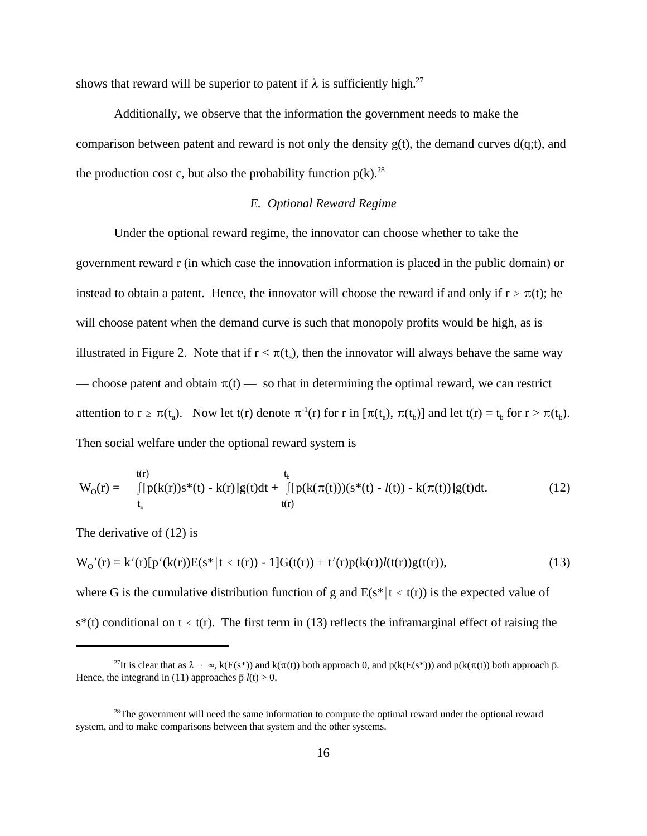shows that reward will be superior to patent if  $\lambda$  is sufficiently high.<sup>27</sup>

Additionally, we observe that the information the government needs to make the comparison between patent and reward is not only the density  $g(t)$ , the demand curves  $d(q;t)$ , and the production cost c, but also the probability function  $p(k)$ <sup>28</sup>

### *E. Optional Reward Regime*

Under the optional reward regime, the innovator can choose whether to take the government reward r (in which case the innovation information is placed in the public domain) or instead to obtain a patent. Hence, the innovator will choose the reward if and only if  $r \ge \pi(t)$ ; he will choose patent when the demand curve is such that monopoly profits would be high, as is illustrated in Figure 2. Note that if  $r < \pi(t_a)$ , then the innovator will always behave the same way — choose patent and obtain  $\pi(t)$  — so that in determining the optimal reward, we can restrict attention to  $r \ge \pi(t_a)$ . Now let  $t(r)$  denote  $\pi^{-1}(r)$  for r in  $[\pi(t_a), \pi(t_b)]$  and let  $t(r) = t_b$  for  $r > \pi(t_b)$ . Then social welfare under the optional reward system is

$$
W_{O}(r) = \int_{t_a}^{t(r)} [p(k(r))s^{*}(t) - k(r)]g(t)dt + \int_{t(r)}^{t_b} [p(k(\pi(t)))(s^{*}(t) - l(t)) - k(\pi(t))]g(t)dt.
$$
 (12)

The derivative of (12) is

$$
W_0'(r) = k'(r)[p'(k(r))E(s^*|t \le t(r)) - 1]G(t(r)) + t'(r)p(k(r))l(t(r))g(t(r)),
$$
\n(13)

where G is the cumulative distribution function of g and  $E(s^*|t \leq t(r))$  is the expected value of  $s^*(t)$  conditional on  $t \leq t(r)$ . The first term in (13) reflects the inframarginal effect of raising the

<sup>&</sup>lt;sup>27</sup>It is clear that as  $\lambda \to \infty$ , k(E(s\*)) and k( $\pi(t)$ ) both approach 0, and p(k(E(s\*))) and p(k( $\pi(t)$ ) both approach  $\bar{p}$ . Hence, the integrand in (11) approaches  $\bar{p} l(t) > 0$ .

<sup>&</sup>lt;sup>28</sup>The government will need the same information to compute the optimal reward under the optional reward system, and to make comparisons between that system and the other systems.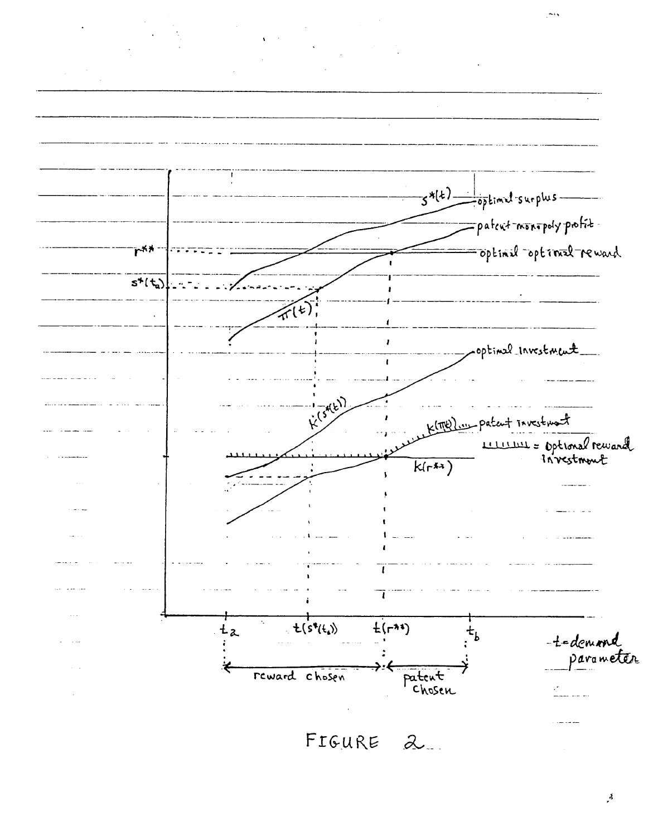

 $\mathcal{S}_{\mathcal{A}}$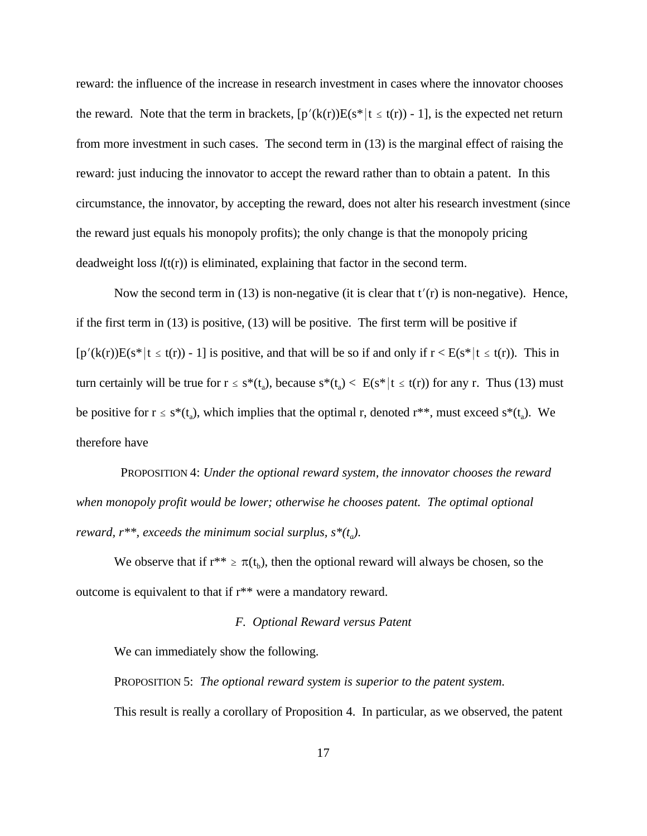reward: the influence of the increase in research investment in cases where the innovator chooses the reward. Note that the term in brackets,  $[p'(k(r))E(s^*|t \le t(r)) - 1]$ , is the expected net return from more investment in such cases. The second term in (13) is the marginal effect of raising the reward: just inducing the innovator to accept the reward rather than to obtain a patent. In this circumstance, the innovator, by accepting the reward, does not alter his research investment (since the reward just equals his monopoly profits); the only change is that the monopoly pricing deadweight loss  $l(t(r))$  is eliminated, explaining that factor in the second term.

Now the second term in (13) is non-negative (it is clear that  $t'(r)$  is non-negative). Hence, if the first term in (13) is positive, (13) will be positive. The first term will be positive if  $[p'(k(r))E(s^*|t \leq t(r)) - 1]$  is positive, and that will be so if and only if  $r < E(s^*|t \leq t(r))$ . This in turn certainly will be true for  $r \leq s^*(t_a)$ , because  $s^*(t_a) < E(s^* | t \leq t(r))$  for any r. Thus (13) must be positive for  $r \leq s^*(t_a)$ , which implies that the optimal r, denoted  $r^{**}$ , must exceed  $s^*(t_a)$ . We therefore have

 PROPOSITION 4: *Under the optional reward system, the innovator chooses the reward when monopoly profit would be lower; otherwise he chooses patent. The optimal optional reward, r\*\*, exceeds the minimum social surplus, s\*(t<sup>a</sup> ).*

We observe that if  $r^{**} \ge \pi(t_b)$ , then the optional reward will always be chosen, so the outcome is equivalent to that if r\*\* were a mandatory reward.

## *F. Optional Reward versus Patent*

We can immediately show the following.

PROPOSITION 5: *The optional reward system is superior to the patent system.* This result is really a corollary of Proposition 4. In particular, as we observed, the patent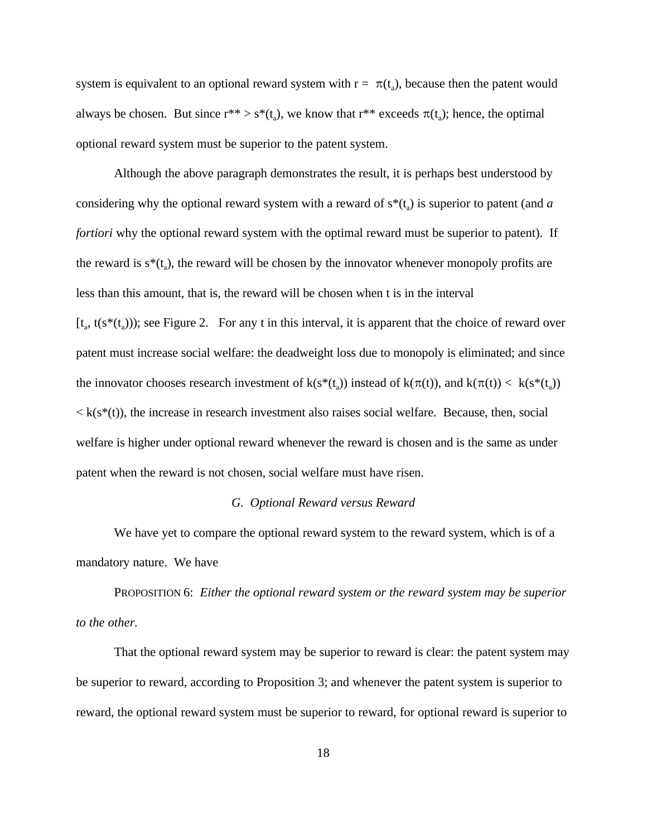system is equivalent to an optional reward system with  $r = \pi(t_a)$ , because then the patent would always be chosen. But since  $r^{**} > s^*(t_a)$ , we know that  $r^{**}$  exceeds  $\pi(t_a)$ ; hence, the optimal optional reward system must be superior to the patent system.

Although the above paragraph demonstrates the result, it is perhaps best understood by considering why the optional reward system with a reward of  $s^*(t_a)$  is superior to patent (and *a fortiori* why the optional reward system with the optimal reward must be superior to patent). If the reward is  $s^*(t_a)$ , the reward will be chosen by the innovator whenever monopoly profits are less than this amount, that is, the reward will be chosen when t is in the interval  $[t_{a}, t(s^{*}(t_{a})))$ ; see Figure 2. For any t in this interval, it is apparent that the choice of reward over patent must increase social welfare: the deadweight loss due to monopoly is eliminated; and since the innovator chooses research investment of  $k(s^*(t_a))$  instead of  $k(\pi(t))$ , and  $k(\pi(t)) < k(s^*(t_a))$  $\langle k(s^*(t))$ , the increase in research investment also raises social welfare. Because, then, social welfare is higher under optional reward whenever the reward is chosen and is the same as under patent when the reward is not chosen, social welfare must have risen.

#### *G. Optional Reward versus Reward*

We have yet to compare the optional reward system to the reward system, which is of a mandatory nature. We have

PROPOSITION 6: *Either the optional reward system or the reward system may be superior to the other.*

That the optional reward system may be superior to reward is clear: the patent system may be superior to reward, according to Proposition 3; and whenever the patent system is superior to reward, the optional reward system must be superior to reward, for optional reward is superior to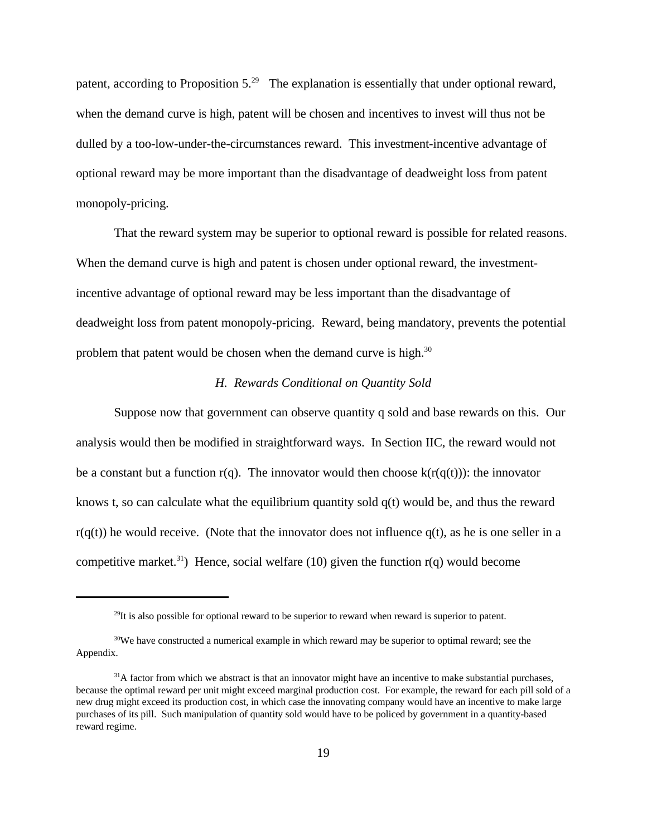patent, according to Proposition  $5.^{29}$  The explanation is essentially that under optional reward, when the demand curve is high, patent will be chosen and incentives to invest will thus not be dulled by a too-low-under-the-circumstances reward. This investment-incentive advantage of optional reward may be more important than the disadvantage of deadweight loss from patent monopoly-pricing.

That the reward system may be superior to optional reward is possible for related reasons. When the demand curve is high and patent is chosen under optional reward, the investmentincentive advantage of optional reward may be less important than the disadvantage of deadweight loss from patent monopoly-pricing. Reward, being mandatory, prevents the potential problem that patent would be chosen when the demand curve is high. $30$ 

## *H. Rewards Conditional on Quantity Sold*

Suppose now that government can observe quantity q sold and base rewards on this. Our analysis would then be modified in straightforward ways. In Section IIC, the reward would not be a constant but a function r(q). The innovator would then choose  $k(r(q(t)))$ : the innovator knows t, so can calculate what the equilibrium quantity sold  $q(t)$  would be, and thus the reward  $r(q(t))$  he would receive. (Note that the innovator does not influence  $q(t)$ , as he is one seller in a competitive market.<sup>31</sup>) Hence, social welfare (10) given the function  $r(q)$  would become

 $^{29}$ It is also possible for optional reward to be superior to reward when reward is superior to patent.

<sup>&</sup>lt;sup>30</sup>We have constructed a numerical example in which reward may be superior to optimal reward; see the Appendix.

 $31A$  factor from which we abstract is that an innovator might have an incentive to make substantial purchases, because the optimal reward per unit might exceed marginal production cost. For example, the reward for each pill sold of a new drug might exceed its production cost, in which case the innovating company would have an incentive to make large purchases of its pill. Such manipulation of quantity sold would have to be policed by government in a quantity-based reward regime.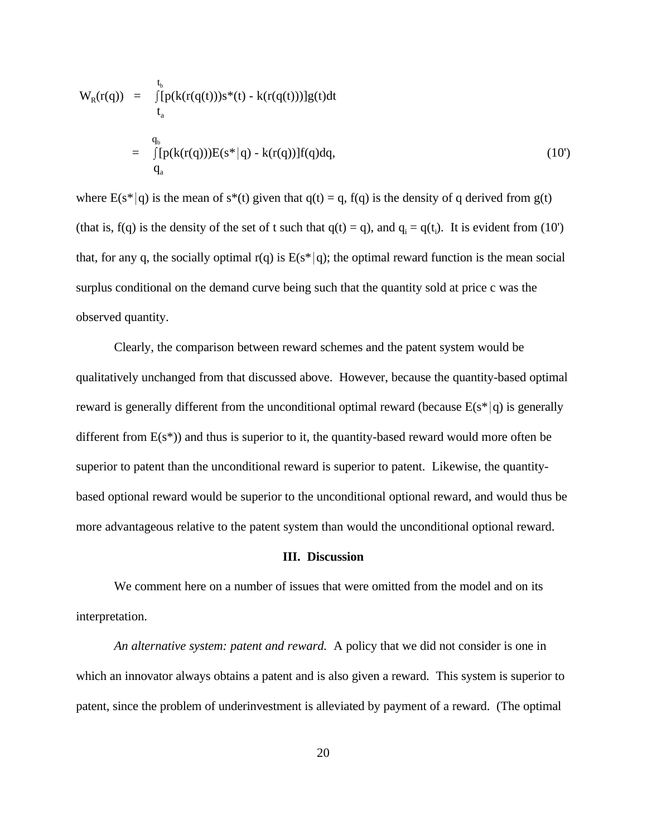$$
W_{R}(r(q)) = \int_{t_{a}}^{t_{b}} [p(k(r(q(t)))s^{*}(t) - k(r(q(t)))]g(t)dt
$$
  
\n
$$
= \int_{t_{a}}^{q_{b}} [p(k(r(q)))E(s^{*}|q) - k(r(q))]f(q)dq,
$$
\n(10')

where  $E(s^*|q)$  is the mean of s<sup>\*</sup>(t) given that  $q(t) = q$ , f(q) is the density of q derived from g(t) (that is, f(q) is the density of the set of t such that  $q(t) = q$ ), and  $q_i = q(t_i)$ . It is evident from (10') that, for any q, the socially optimal  $r(q)$  is  $E(s^*|q)$ ; the optimal reward function is the mean social surplus conditional on the demand curve being such that the quantity sold at price c was the observed quantity.

Clearly, the comparison between reward schemes and the patent system would be qualitatively unchanged from that discussed above. However, because the quantity-based optimal reward is generally different from the unconditional optimal reward (because  $E(s^*|q)$  is generally different from  $E(s^*)$ ) and thus is superior to it, the quantity-based reward would more often be superior to patent than the unconditional reward is superior to patent. Likewise, the quantitybased optional reward would be superior to the unconditional optional reward, and would thus be more advantageous relative to the patent system than would the unconditional optional reward.

#### **III. Discussion**

We comment here on a number of issues that were omitted from the model and on its interpretation.

*An alternative system: patent and reward.* A policy that we did not consider is one in which an innovator always obtains a patent and is also given a reward. This system is superior to patent, since the problem of underinvestment is alleviated by payment of a reward. (The optimal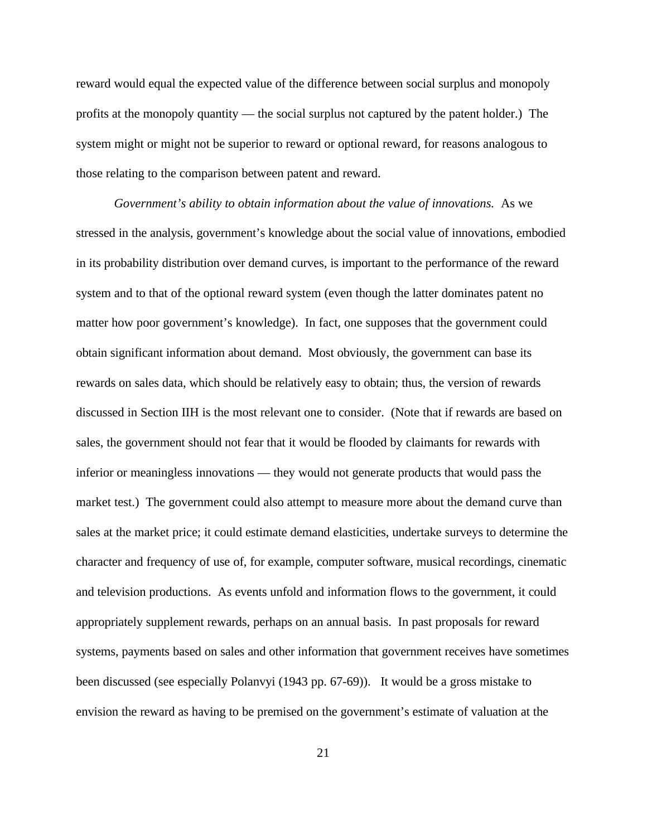reward would equal the expected value of the difference between social surplus and monopoly profits at the monopoly quantity — the social surplus not captured by the patent holder.) The system might or might not be superior to reward or optional reward, for reasons analogous to those relating to the comparison between patent and reward.

*Government's ability to obtain information about the value of innovations.* As we stressed in the analysis, government's knowledge about the social value of innovations, embodied in its probability distribution over demand curves, is important to the performance of the reward system and to that of the optional reward system (even though the latter dominates patent no matter how poor government's knowledge). In fact, one supposes that the government could obtain significant information about demand. Most obviously, the government can base its rewards on sales data, which should be relatively easy to obtain; thus, the version of rewards discussed in Section IIH is the most relevant one to consider. (Note that if rewards are based on sales, the government should not fear that it would be flooded by claimants for rewards with inferior or meaningless innovations — they would not generate products that would pass the market test.) The government could also attempt to measure more about the demand curve than sales at the market price; it could estimate demand elasticities, undertake surveys to determine the character and frequency of use of, for example, computer software, musical recordings, cinematic and television productions. As events unfold and information flows to the government, it could appropriately supplement rewards, perhaps on an annual basis. In past proposals for reward systems, payments based on sales and other information that government receives have sometimes been discussed (see especially Polanvyi (1943 pp. 67-69)). It would be a gross mistake to envision the reward as having to be premised on the government's estimate of valuation at the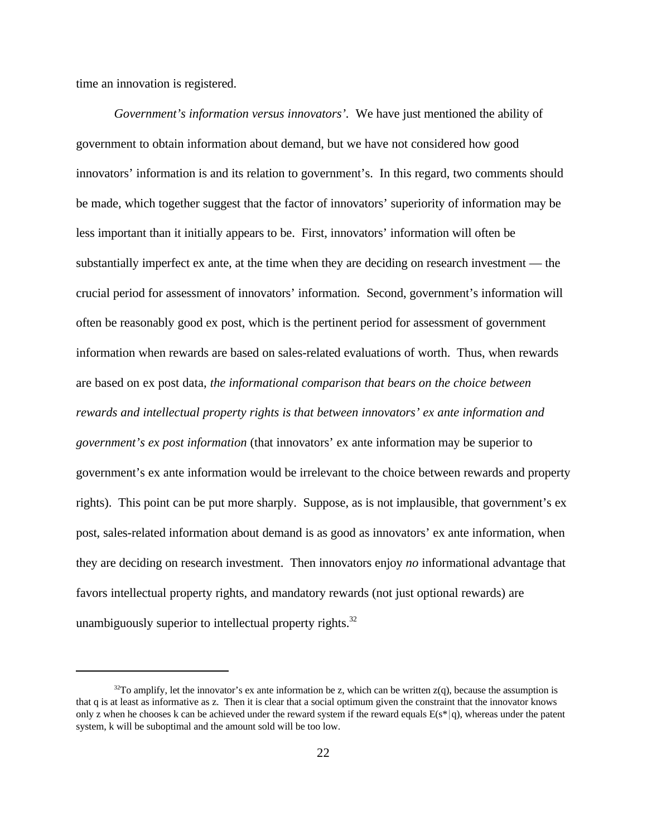time an innovation is registered.

*Government's information versus innovators'.* We have just mentioned the ability of government to obtain information about demand, but we have not considered how good innovators' information is and its relation to government's. In this regard, two comments should be made, which together suggest that the factor of innovators' superiority of information may be less important than it initially appears to be. First, innovators' information will often be substantially imperfect ex ante, at the time when they are deciding on research investment — the crucial period for assessment of innovators' information. Second, government's information will often be reasonably good ex post, which is the pertinent period for assessment of government information when rewards are based on sales-related evaluations of worth. Thus, when rewards are based on ex post data, *the informational comparison that bears on the choice between rewards and intellectual property rights is that between innovators' ex ante information and government's ex post information* (that innovators' ex ante information may be superior to government's ex ante information would be irrelevant to the choice between rewards and property rights). This point can be put more sharply. Suppose, as is not implausible, that government's ex post, sales-related information about demand is as good as innovators' ex ante information, when they are deciding on research investment. Then innovators enjoy *no* informational advantage that favors intellectual property rights, and mandatory rewards (not just optional rewards) are unambiguously superior to intellectual property rights.<sup>32</sup>

 $32$ To amplify, let the innovator's ex ante information be z, which can be written  $z(q)$ , because the assumption is that q is at least as informative as z. Then it is clear that a social optimum given the constraint that the innovator knows only z when he chooses k can be achieved under the reward system if the reward equals  $E(s^*|q)$ , whereas under the patent system, k will be suboptimal and the amount sold will be too low.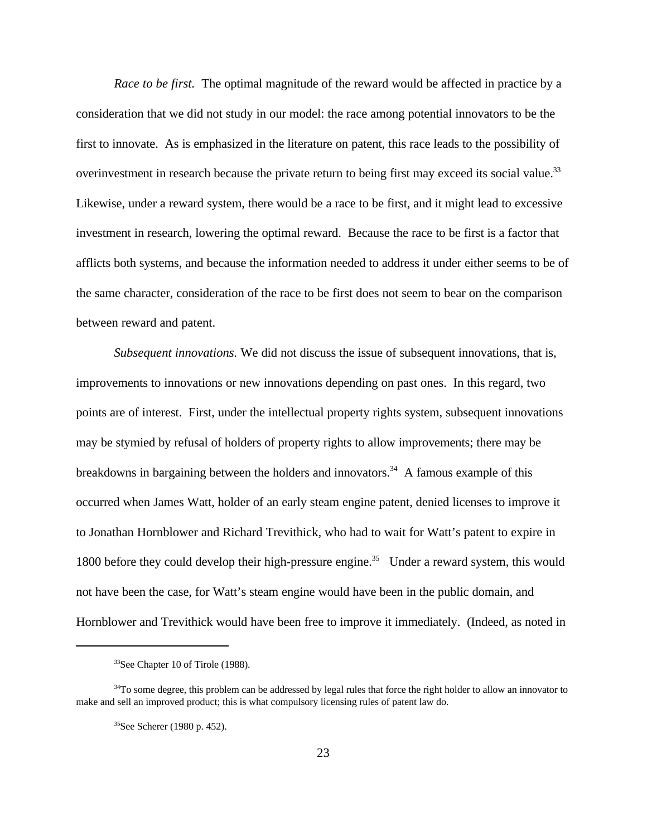*Race to be first.* The optimal magnitude of the reward would be affected in practice by a consideration that we did not study in our model: the race among potential innovators to be the first to innovate. As is emphasized in the literature on patent, this race leads to the possibility of overinvestment in research because the private return to being first may exceed its social value.<sup>33</sup> Likewise, under a reward system, there would be a race to be first, and it might lead to excessive investment in research, lowering the optimal reward. Because the race to be first is a factor that afflicts both systems, and because the information needed to address it under either seems to be of the same character, consideration of the race to be first does not seem to bear on the comparison between reward and patent.

*Subsequent innovations.* We did not discuss the issue of subsequent innovations, that is, improvements to innovations or new innovations depending on past ones. In this regard, two points are of interest. First, under the intellectual property rights system, subsequent innovations may be stymied by refusal of holders of property rights to allow improvements; there may be breakdowns in bargaining between the holders and innovators.<sup>34</sup> A famous example of this occurred when James Watt, holder of an early steam engine patent, denied licenses to improve it to Jonathan Hornblower and Richard Trevithick, who had to wait for Watt's patent to expire in 1800 before they could develop their high-pressure engine.<sup>35</sup> Under a reward system, this would not have been the case, for Watt's steam engine would have been in the public domain, and Hornblower and Trevithick would have been free to improve it immediately. (Indeed, as noted in

<sup>&</sup>lt;sup>33</sup>See Chapter 10 of Tirole (1988).

<sup>&</sup>lt;sup>34</sup>To some degree, this problem can be addressed by legal rules that force the right holder to allow an innovator to make and sell an improved product; this is what compulsory licensing rules of patent law do.

<sup>35</sup>See Scherer (1980 p. 452).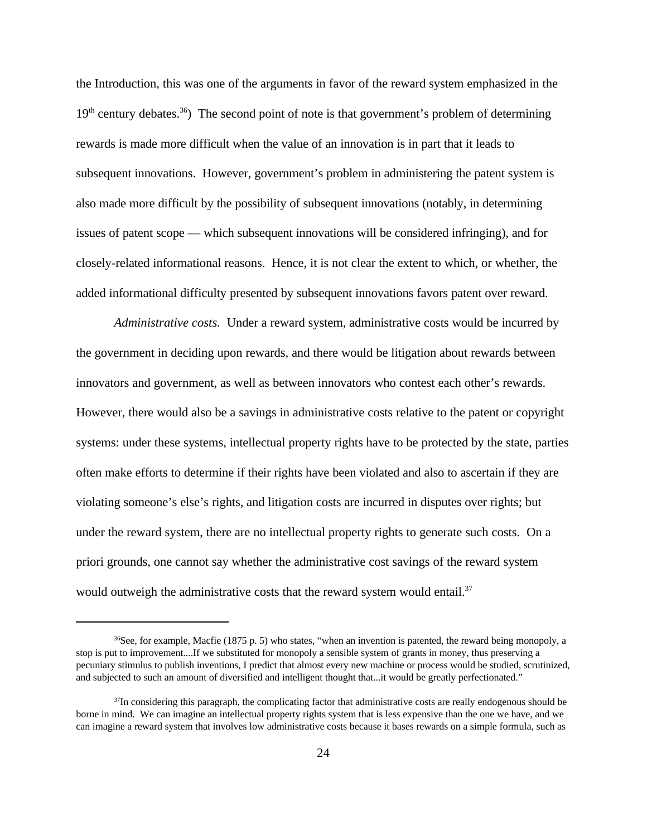the Introduction, this was one of the arguments in favor of the reward system emphasized in the  $19<sup>th</sup>$  century debates.<sup>36</sup>) The second point of note is that government's problem of determining rewards is made more difficult when the value of an innovation is in part that it leads to subsequent innovations. However, government's problem in administering the patent system is also made more difficult by the possibility of subsequent innovations (notably, in determining issues of patent scope — which subsequent innovations will be considered infringing), and for closely-related informational reasons. Hence, it is not clear the extent to which, or whether, the added informational difficulty presented by subsequent innovations favors patent over reward.

*Administrative costs.* Under a reward system, administrative costs would be incurred by the government in deciding upon rewards, and there would be litigation about rewards between innovators and government, as well as between innovators who contest each other's rewards. However, there would also be a savings in administrative costs relative to the patent or copyright systems: under these systems, intellectual property rights have to be protected by the state, parties often make efforts to determine if their rights have been violated and also to ascertain if they are violating someone's else's rights, and litigation costs are incurred in disputes over rights; but under the reward system, there are no intellectual property rights to generate such costs. On a priori grounds, one cannot say whether the administrative cost savings of the reward system would outweigh the administrative costs that the reward system would entail.<sup>37</sup>

<sup>&</sup>lt;sup>36</sup>See, for example, Macfie (1875 p. 5) who states, "when an invention is patented, the reward being monopoly, a stop is put to improvement....If we substituted for monopoly a sensible system of grants in money, thus preserving a pecuniary stimulus to publish inventions, I predict that almost every new machine or process would be studied, scrutinized, and subjected to such an amount of diversified and intelligent thought that...it would be greatly perfectionated."

 $37$ In considering this paragraph, the complicating factor that administrative costs are really endogenous should be borne in mind. We can imagine an intellectual property rights system that is less expensive than the one we have, and we can imagine a reward system that involves low administrative costs because it bases rewards on a simple formula, such as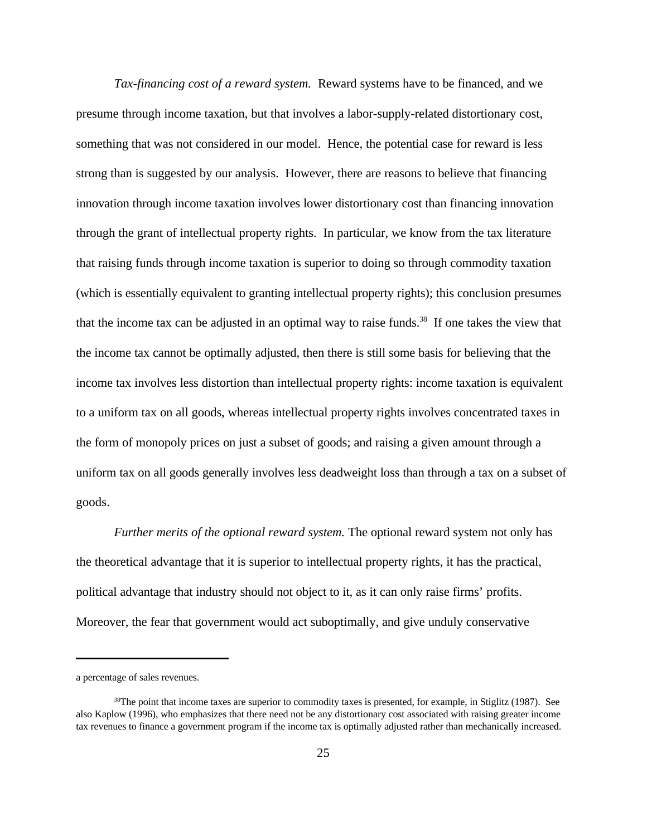*Tax-financing cost of a reward system.* Reward systems have to be financed, and we presume through income taxation, but that involves a labor-supply-related distortionary cost, something that was not considered in our model. Hence, the potential case for reward is less strong than is suggested by our analysis. However, there are reasons to believe that financing innovation through income taxation involves lower distortionary cost than financing innovation through the grant of intellectual property rights. In particular, we know from the tax literature that raising funds through income taxation is superior to doing so through commodity taxation (which is essentially equivalent to granting intellectual property rights); this conclusion presumes that the income tax can be adjusted in an optimal way to raise funds.<sup>38</sup> If one takes the view that the income tax cannot be optimally adjusted, then there is still some basis for believing that the income tax involves less distortion than intellectual property rights: income taxation is equivalent to a uniform tax on all goods, whereas intellectual property rights involves concentrated taxes in the form of monopoly prices on just a subset of goods; and raising a given amount through a uniform tax on all goods generally involves less deadweight loss than through a tax on a subset of goods.

*Further merits of the optional reward system.* The optional reward system not only has the theoretical advantage that it is superior to intellectual property rights, it has the practical, political advantage that industry should not object to it, as it can only raise firms' profits. Moreover, the fear that government would act suboptimally, and give unduly conservative

a percentage of sales revenues.

<sup>&</sup>lt;sup>38</sup>The point that income taxes are superior to commodity taxes is presented, for example, in Stiglitz (1987). See also Kaplow (1996), who emphasizes that there need not be any distortionary cost associated with raising greater income tax revenues to finance a government program if the income tax is optimally adjusted rather than mechanically increased.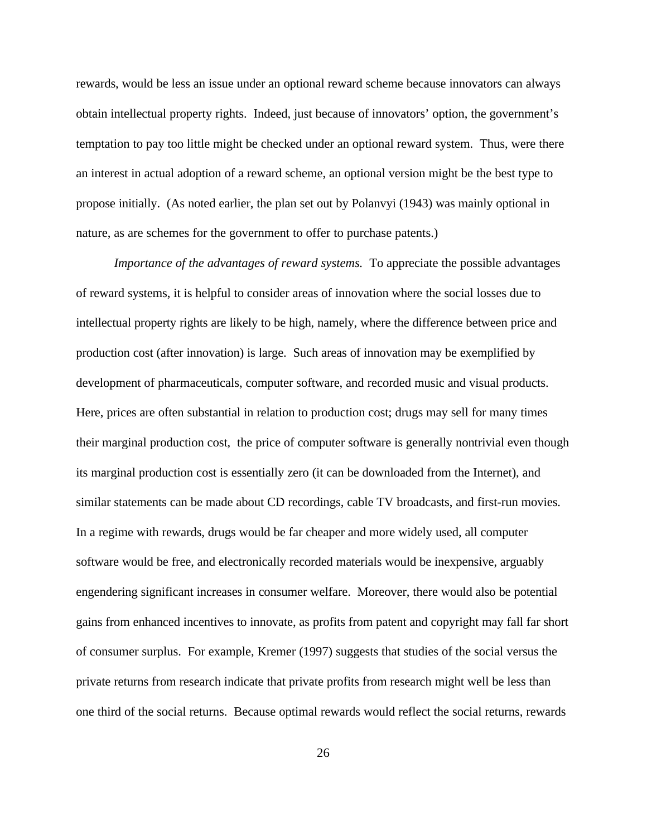rewards, would be less an issue under an optional reward scheme because innovators can always obtain intellectual property rights. Indeed, just because of innovators' option, the government's temptation to pay too little might be checked under an optional reward system. Thus, were there an interest in actual adoption of a reward scheme, an optional version might be the best type to propose initially. (As noted earlier, the plan set out by Polanvyi (1943) was mainly optional in nature, as are schemes for the government to offer to purchase patents.)

*Importance of the advantages of reward systems.* To appreciate the possible advantages of reward systems, it is helpful to consider areas of innovation where the social losses due to intellectual property rights are likely to be high, namely, where the difference between price and production cost (after innovation) is large. Such areas of innovation may be exemplified by development of pharmaceuticals, computer software, and recorded music and visual products. Here, prices are often substantial in relation to production cost; drugs may sell for many times their marginal production cost, the price of computer software is generally nontrivial even though its marginal production cost is essentially zero (it can be downloaded from the Internet), and similar statements can be made about CD recordings, cable TV broadcasts, and first-run movies. In a regime with rewards, drugs would be far cheaper and more widely used, all computer software would be free, and electronically recorded materials would be inexpensive, arguably engendering significant increases in consumer welfare. Moreover, there would also be potential gains from enhanced incentives to innovate, as profits from patent and copyright may fall far short of consumer surplus. For example, Kremer (1997) suggests that studies of the social versus the private returns from research indicate that private profits from research might well be less than one third of the social returns. Because optimal rewards would reflect the social returns, rewards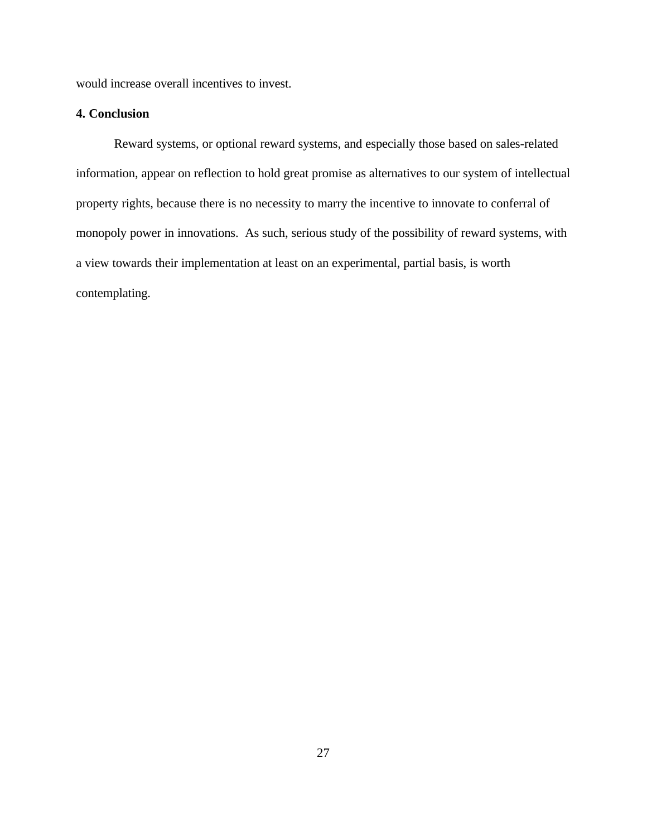would increase overall incentives to invest.

# **4. Conclusion**

Reward systems, or optional reward systems, and especially those based on sales-related information, appear on reflection to hold great promise as alternatives to our system of intellectual property rights, because there is no necessity to marry the incentive to innovate to conferral of monopoly power in innovations. As such, serious study of the possibility of reward systems, with a view towards their implementation at least on an experimental, partial basis, is worth contemplating.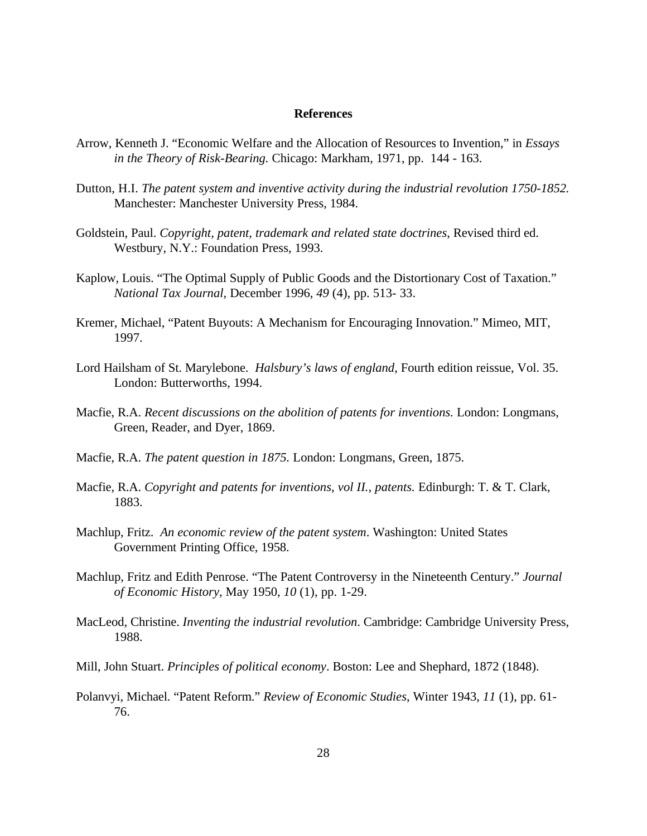#### **References**

- Arrow, Kenneth J. "Economic Welfare and the Allocation of Resources to Invention," in *Essays in the Theory of Risk-Bearing.* Chicago: Markham, 1971, pp. 144 - 163.
- Dutton, H.I. *The patent system and inventive activity during the industrial revolution 1750-1852.* Manchester: Manchester University Press, 1984.
- Goldstein, Paul. *Copyright, patent, trademark and related state doctrines*, Revised third ed. Westbury, N.Y.: Foundation Press, 1993.
- Kaplow, Louis. "The Optimal Supply of Public Goods and the Distortionary Cost of Taxation." *National Tax Journal,* December 1996, *49* (4), pp. 513- 33.
- Kremer, Michael, "Patent Buyouts: A Mechanism for Encouraging Innovation." Mimeo, MIT, 1997.
- Lord Hailsham of St. Marylebone. *Halsbury's laws of england*, Fourth edition reissue, Vol. 35. London: Butterworths, 1994.
- Macfie, R.A. *Recent discussions on the abolition of patents for inventions.* London: Longmans, Green, Reader, and Dyer, 1869.
- Macfie, R.A. *The patent question in 1875.* London: Longmans, Green, 1875.
- Macfie, R.A. *Copyright and patents for inventions*, *vol II., patents.* Edinburgh: T. & T. Clark, 1883.
- Machlup, Fritz. *An economic review of the patent system*. Washington: United States Government Printing Office, 1958.
- Machlup, Fritz and Edith Penrose. "The Patent Controversy in the Nineteenth Century." *Journal of Economic History*, May 1950, *10* (1), pp. 1-29.
- MacLeod, Christine. *Inventing the industrial revolution*. Cambridge: Cambridge University Press, 1988.
- Mill, John Stuart. *Principles of political economy*. Boston: Lee and Shephard, 1872 (1848).
- Polanvyi, Michael. "Patent Reform." *Review of Economic Studies*, Winter 1943, *11* (1), pp. 61- 76.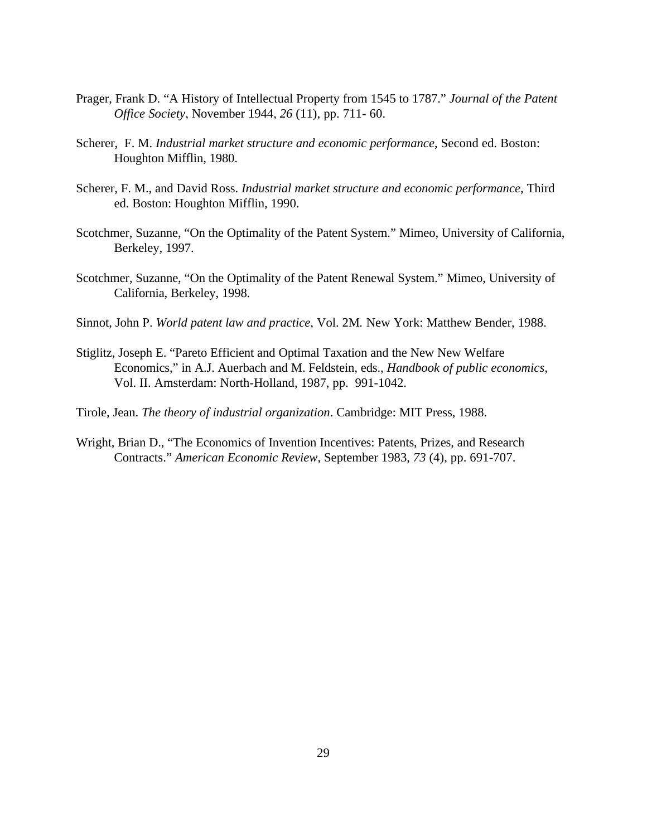- Prager, Frank D. "A History of Intellectual Property from 1545 to 1787." *Journal of the Patent Office Society*, November 1944, *26* (11), pp. 711- 60.
- Scherer, F. M. *Industrial market structure and economic performance*, Second ed. Boston: Houghton Mifflin, 1980.
- Scherer, F. M., and David Ross. *Industrial market structure and economic performance*, Third ed. Boston: Houghton Mifflin, 1990.
- Scotchmer, Suzanne, "On the Optimality of the Patent System." Mimeo, University of California, Berkeley, 1997.
- Scotchmer, Suzanne, "On the Optimality of the Patent Renewal System." Mimeo, University of California, Berkeley, 1998.
- Sinnot, John P. *World patent law and practice*, Vol. 2M*.* New York: Matthew Bender, 1988.
- Stiglitz, Joseph E. "Pareto Efficient and Optimal Taxation and the New New Welfare Economics," in A.J. Auerbach and M. Feldstein, eds., *Handbook of public economics*, Vol. II. Amsterdam: North-Holland, 1987, pp. 991-1042.
- Tirole, Jean. *The theory of industrial organization*. Cambridge: MIT Press, 1988.
- Wright, Brian D., "The Economics of Invention Incentives: Patents, Prizes, and Research Contracts." *American Economic Review*, September 1983, *73* (4), pp. 691-707.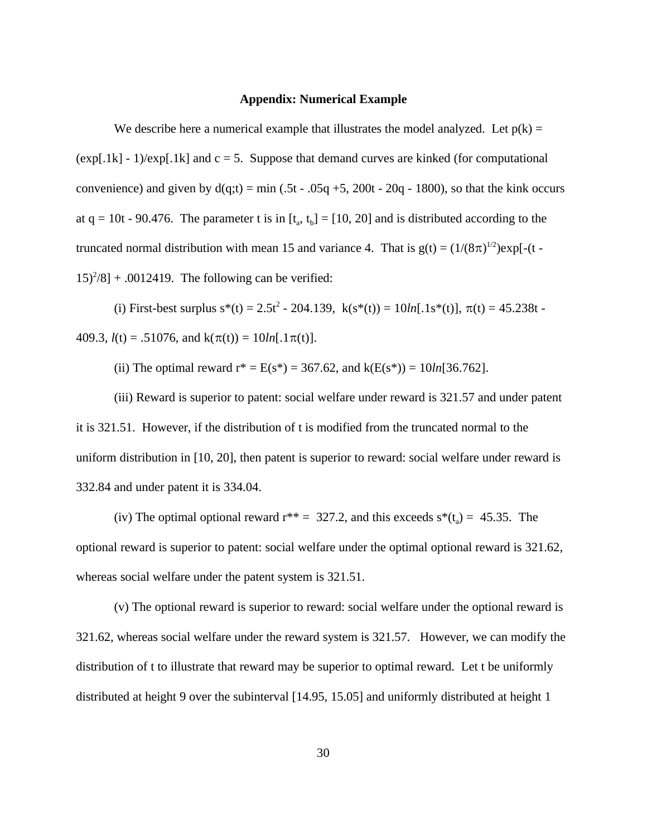### **Appendix: Numerical Example**

We describe here a numerical example that illustrates the model analyzed. Let  $p(k)$  =  $(\exp[.1k] - 1)/\exp[.1k]$  and  $c = 5$ . Suppose that demand curves are kinked (for computational convenience) and given by  $d(q;t) = min(.5t - .05q + 5, 200t - 20q - 1800)$ , so that the kink occurs at  $q = 10t - 90.476$ . The parameter t is in  $[t_a, t_b] = [10, 20]$  and is distributed according to the truncated normal distribution with mean 15 and variance 4. That is  $g(t) = (1/(8\pi)^{1/2})exp[-(t (15)^{2}/8$  + .0012419. The following can be verified:

(i) First-best surplus  $s^*(t) = 2.5t^2 - 204.139$ ,  $k(s^*(t)) = 10ln[0.1s^*(t)]$ ,  $\pi(t) = 45.238t - 100$ 409.3,  $l(t) = .51076$ , and  $k(\pi(t)) = 10ln[.1\pi(t)].$ 

(ii) The optimal reward  $r^* = E(s^*) = 367.62$ , and  $k(E(s^*)) = 10ln[36.762]$ .

(iii) Reward is superior to patent: social welfare under reward is 321.57 and under patent it is 321.51. However, if the distribution of t is modified from the truncated normal to the uniform distribution in [10, 20], then patent is superior to reward: social welfare under reward is 332.84 and under patent it is 334.04.

(iv) The optimal optional reward  $r^{**} = 327.2$ , and this exceeds  $s^*(t_a) = 45.35$ . The optional reward is superior to patent: social welfare under the optimal optional reward is 321.62, whereas social welfare under the patent system is 321.51.

(v) The optional reward is superior to reward: social welfare under the optional reward is 321.62, whereas social welfare under the reward system is 321.57. However, we can modify the distribution of t to illustrate that reward may be superior to optimal reward. Let t be uniformly distributed at height 9 over the subinterval [14.95, 15.05] and uniformly distributed at height 1